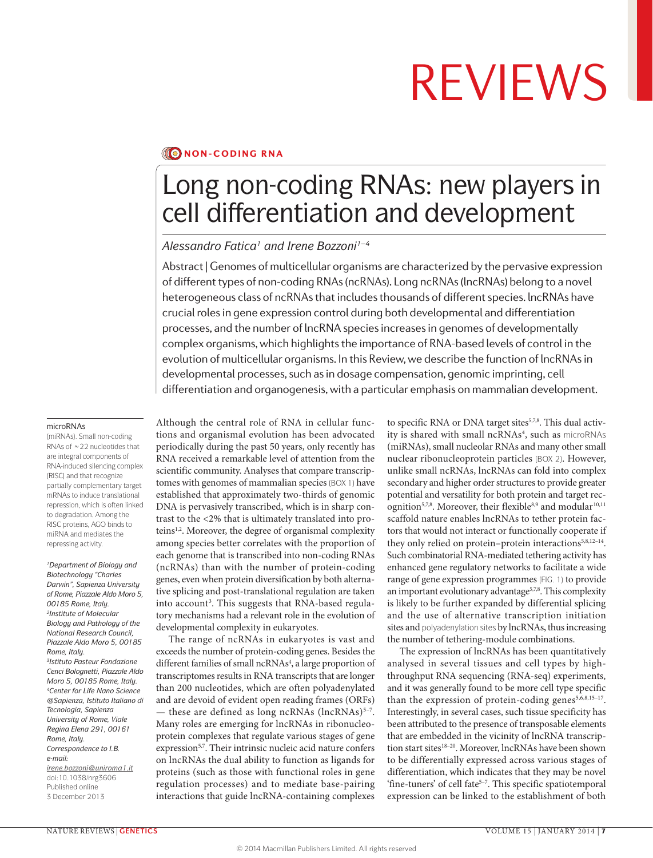### **NON-CODING RNA**

## Long non-coding RNAs: new players in cell differentiation and development

#### *Alessandro Fatica1 and Irene Bozzoni1–4*

Abstract | Genomes of multicellular organisms are characterized by the pervasive expression of different types of non-coding RNAs (ncRNAs). Long ncRNAs (lncRNAs) belong to a novel heterogeneous class of ncRNAs that includes thousands of different species. lncRNAs have crucial roles in gene expression control during both developmental and differentiation processes, and the number of lncRNA species increases in genomes of developmentally complex organisms, which highlights the importance of RNA-based levels of control in the evolution of multicellular organisms. In this Review, we describe the function of lncRNAs in developmental processes, such as in dosage compensation, genomic imprinting, cell differentiation and organogenesis, with a particular emphasis on mammalian development.

#### microRNAs

(miRNAs). Small non-coding RNAs of ~22 nucleotides that are integral components of RNA-induced silencing complex (RISC) and that recognize partially complementary target mRNAs to induce translational repression, which is often linked to degradation. Among the RISC proteins, AGO binds to miRNA and mediates the repressing activity.

*1Department of Biology and Biotechnology "Charles Darwin", Sapienza University of Rome, Piazzale Aldo Moro 5, 00185 Rome, Italy. 2Institute of Molecular Biology and Pathology of the National Research Council, Piazzale Aldo Moro 5, 00185 Rome, Italy. 3Istituto Pasteur Fondazione Cenci Bolognetti, Piazzale Aldo Moro 5, 00185 Rome, Italy. 4Center for Life Nano Science @Sapienza, Istituto Italiano di Tecnologia, Sapienza University of Rome, Viale Regina Elena 291, 00161 Rome, Italy. Correspondence to I.B. e‑mail: [irene.bozzoni@uniroma1.it](mailto:irene.bozzoni@uniroma1.it)* doi:10.1038/nrg3606 Published online 3 December 2013

Although the central role of RNA in cellular functions and organismal evolution has been advocated periodically during the past 50 years, only recently has RNA received a remarkable level of attention from the scientific community. Analyses that compare transcriptomes with genomes of mammalian species (BOX 1) have established that approximately two-thirds of genomic DNA is pervasively transcribed, which is in sharp contrast to the <2% that is ultimately translated into proteins<sup>1,2</sup>. Moreover, the degree of organismal complexity among species better correlates with the proportion of each genome that is transcribed into non-coding RNAs (ncRNAs) than with the number of protein-coding genes, even when protein diversification by both alternative splicing and post-translational regulation are taken into account<sup>3</sup>. This suggests that RNA-based regulatory mechanisms had a relevant role in the evolution of developmental complexity in eukaryotes.

The range of ncRNAs in eukaryotes is vast and exceeds the number of protein-coding genes. Besides the different families of small ncRNAs<sup>4</sup>, a large proportion of transcriptomes results in RNA transcripts that are longer than 200 nucleotides, which are often polyadenylated and are devoid of evident open reading frames (ORFs) — these are defined as long ncRNAs  $(IncRNAs)^{5-7}$ . Many roles are emerging for lncRNAs in ribonucleoprotein complexes that regulate various stages of gene expression<sup>5,7</sup>. Their intrinsic nucleic acid nature confers on lncRNAs the dual ability to function as ligands for proteins (such as those with functional roles in gene regulation processes) and to mediate base-pairing interactions that guide lncRNA-containing complexes

to specific RNA or DNA target sites<sup>5,7,8</sup>. This dual activity is shared with small ncRNAs<sup>4</sup>, such as microRNAs (miRNAs), small nucleolar RNAs and many other small nuclear ribonucleoprotein particles (BOX 2). However, unlike small ncRNAs, lncRNAs can fold into complex secondary and higher order structures to provide greater potential and versatility for both protein and target recognition<sup>5,7,8</sup>. Moreover, their flexible<sup>8,9</sup> and modular<sup>10,11</sup> scaffold nature enables lncRNAs to tether protein factors that would not interact or functionally cooperate if they only relied on protein–protein interactions<sup>5,8,12-14</sup>. Such combinatorial RNA-mediated tethering activity has enhanced gene regulatory networks to facilitate a wide range of gene expression programmes (FIG. 1) to provide an important evolutionary advantage<sup>5,7,8</sup>. This complexity is likely to be further expanded by differential splicing and the use of alternative transcription initiation sites and polyadenylation sites by lncRNAs, thus increasing the number of tethering-module combinations.

The expression of lncRNAs has been quantitatively analysed in several tissues and cell types by highthroughput RNA sequencing (RNA-seq) experiments, and it was generally found to be more cell type specific than the expression of protein-coding genes<sup>5,6,8,15-17</sup>. Interestingly, in several cases, such tissue specificity has been attributed to the presence of transposable elements that are embedded in the vicinity of lncRNA transcription start sites<sup>18-20</sup>. Moreover, lncRNAs have been shown to be differentially expressed across various stages of differentiation, which indicates that they may be novel 'fine-tuners' of cell fate<sup>5-7</sup>. This specific spatiotemporal expression can be linked to the establishment of both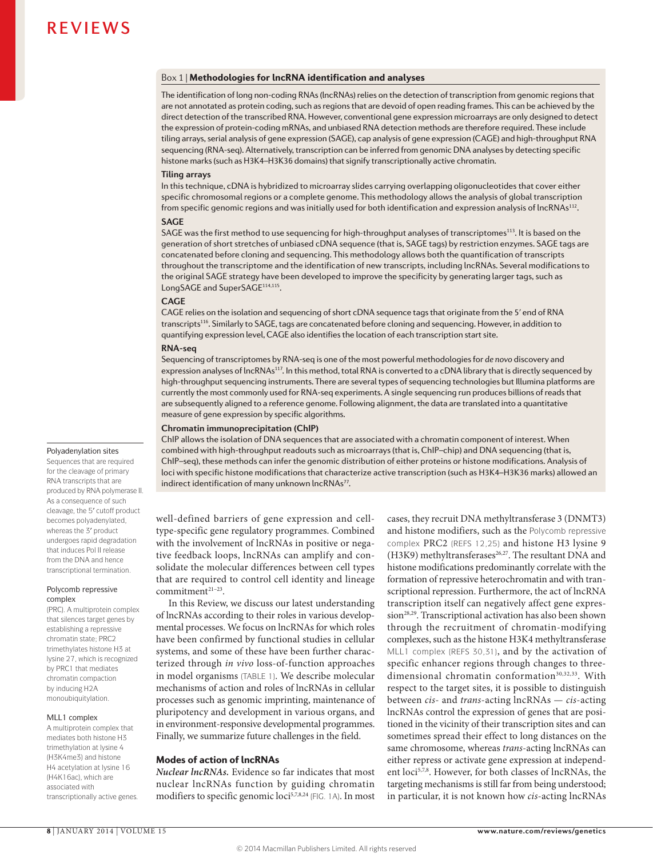#### Box 1 | Methodologies for lncRNA identification and analyses

The identification of long non-coding RNAs (lncRNAs) relies on the detection of transcription from genomic regions that are not annotated as protein coding, such as regions that are devoid of open reading frames. This can be achieved by the direct detection of the transcribed RNA. However, conventional gene expression microarrays are only designed to detect the expression of protein-coding mRNAs, and unbiased RNA detection methods are therefore required. These include tiling arrays, serial analysis of gene expression (SAGE), cap analysis of gene expression (CAGE) and high-throughput RNA sequencing (RNA-seq). Alternatively, transcription can be inferred from genomic DNA analyses by detecting specific histone marks (such as H3K4–H3K36 domains) that signify transcriptionally active chromatin.

#### **Tiling arrays**

In this technique, cDNA is hybridized to microarray slides carrying overlapping oligonucleotides that cover either specific chromosomal regions or a complete genome. This methodology allows the analysis of global transcription from specific genomic regions and was initially used for both identification and expression analysis of lncRNAs<sup>112</sup>.

#### **SAGE**

SAGE was the first method to use sequencing for high-throughput analyses of transcriptomes<sup>113</sup>. It is based on the generation of short stretches of unbiased cDNA sequence (that is, SAGE tags) by restriction enzymes. SAGE tags are concatenated before cloning and sequencing. This methodology allows both the quantification of transcripts throughout the transcriptome and the identification of new transcripts, including lncRNAs. Several modifications to the original SAGE strategy have been developed to improve the specificity by generating larger tags, such as LongSAGE and SuperSAGE<sup>114,115</sup>.

#### **CAGE**

CAGE relies on the isolation and sequencing of short cDNA sequence tags that originate from the 5ʹ end of RNA transcripts116. Similarly to SAGE, tags are concatenated before cloning and sequencing. However, in addition to quantifying expression level, CAGE also identifies the location of each transcription start site.

#### **RNA-seq**

Sequencing of transcriptomes by RNA-seq is one of the most powerful methodologies for *de novo* discovery and expression analyses of lncRNAs<sup>117</sup>. In this method, total RNA is converted to a cDNA library that is directly sequenced by high-throughput sequencing instruments. There are several types of sequencing technologies but Illumina platforms are currently the most commonly used for RNA-seq experiments. A single sequencing run produces billions of reads that are subsequently aligned to a reference genome. Following alignment, the data are translated into a quantitative measure of gene expression by specific algorithms.

#### **Chromatin immunoprecipitation (ChIP)**

ChIP allows the isolation of DNA sequences that are associated with a chromatin component of interest. When combined with high-throughput readouts such as microarrays (that is, ChIP–chip) and DNA sequencing (that is, ChIP–seq), these methods can infer the genomic distribution of either proteins or histone modifications. Analysis of loci with specific histone modifications that characterize active transcription (such as H3K4–H3K36 marks) allowed an indirect identification of many unknown lncRNAs<sup>77</sup>.

well-defined barriers of gene expression and celltype-specific gene regulatory programmes. Combined with the involvement of lncRNAs in positive or negative feedback loops, lncRNAs can amplify and consolidate the molecular differences between cell types that are required to control cell identity and lineage commitment<sup>21-23</sup>.

In this Review, we discuss our latest understanding of lncRNAs according to their roles in various developmental processes. We focus on lncRNAs for which roles have been confirmed by functional studies in cellular systems, and some of these have been further characterized through *in vivo* loss-of-function approaches in model organisms (TABLE 1). We describe molecular mechanisms of action and roles of lncRNAs in cellular processes such as genomic imprinting, maintenance of pluripotency and development in various organs, and in environment-responsive developmental programmes. Finally, we summarize future challenges in the field.

#### Modes of action of lncRNAs

*Nuclear lncRNAs.* Evidence so far indicates that most nuclear lncRNAs function by guiding chromatin modifiers to specific genomic loci<sup>5,7,8,24</sup> (FIG. 1A). In most cases, they recruit DNA methyltransferase 3 (DNMT3) and histone modifiers, such as the Polycomb repressive complex PRC2 (REFS 12,25) and histone H3 lysine 9 (H3K9) methyltransferases<sup>26,27</sup>. The resultant DNA and histone modifications predominantly correlate with the formation of repressive heterochromatin and with transcriptional repression. Furthermore, the act of lncRNA transcription itself can negatively affect gene expression<sup>28,29</sup>. Transcriptional activation has also been shown through the recruitment of chromatin-modifying complexes, such as the histone H3K4 methyltransferase MLL1 complex (REFS 30,31), and by the activation of specific enhancer regions through changes to threedimensional chromatin conformation<sup>30,32,33</sup>. With respect to the target sites, it is possible to distinguish between *cis*- and *trans*-acting lncRNAs — *cis*-acting lncRNAs control the expression of genes that are positioned in the vicinity of their transcription sites and can sometimes spread their effect to long distances on the same chromosome, whereas *trans*-acting lncRNAs can either repress or activate gene expression at independent loci<sup>5,7,8</sup>. However, for both classes of lncRNAs, the targeting mechanisms is still far from being understood; in particular, it is not known how *cis*-acting lncRNAs

#### Polyadenylation sites

Sequences that are required for the cleavage of primary RNA transcripts that are produced by RNA polymerase II. As a consequence of such cleavage, the 5′ cutoff product becomes polyadenylated, whereas the 3′ product undergoes rapid degradation that induces Pol II release from the DNA and hence transcriptional termination.

#### Polycomb repressive complex

(PRC). A multiprotein complex that silences target genes by establishing a repressive chromatin state; PRC2 trimethylates histone H3 at lysine 27, which is recognized by PRC1 that mediates chromatin compaction by inducing H2A monoubiquitylation.

#### MLL1 complex

A multiprotein complex that mediates both histone H3 trimethylation at lysine 4 (H3K4me3) and histone H4 acetylation at lysine 16 (H4K16ac), which are associated with transcriptionally active genes.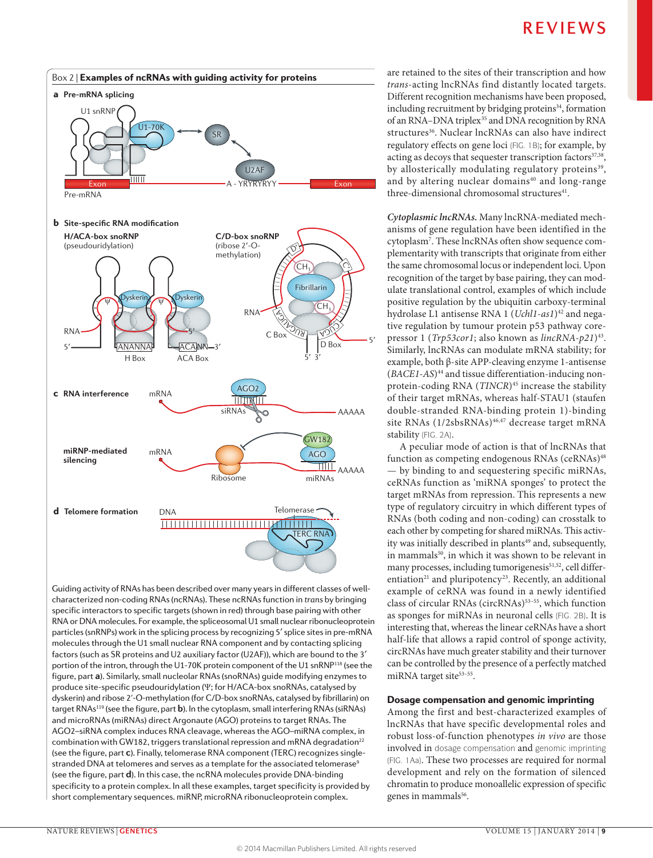

Guiding activity of RNAs has been described over many years in different classes of well-**Nature Reviews** | **Genetics** characterized non-coding RNAs (ncRNAs). These ncRNAs function in *trans* by bringing specific interactors to specific targets (shown in red) through base pairing with other RNA or DNA molecules. For example, the spliceosomal U1 small nuclear ribonucleoprotein particles (snRNPs) work in the splicing process by recognizing 5′ splice sites in pre-mRNA molecules through the U1 small nuclear RNA component and by contacting splicing factors (such as SR proteins and U2 auxiliary factor (U2AF)), which are bound to the 3′ portion of the intron, through the U1-70K protein component of the U1 snRNP<sup>118</sup> (see the figure, part **a**). Similarly, small nucleolar RNAs (snoRNAs) guide modifying enzymes to produce site-specific pseudouridylation (Ψ; for H/ACA-box snoRNAs, catalysed by dyskerin) and ribose 2ʹ-O-methylation (for C/D-box snoRNAs, catalysed by fibrillarin) on target RNAs119 (see the figure, part **b**). In the cytoplasm, small interfering RNAs (siRNAs) and microRNAs (miRNAs) direct Argonaute (AGO) proteins to target RNAs. The AGO2–siRNA complex induces RNA cleavage, whereas the AGO–miRNA complex, in combination with GW182, triggers translational repression and mRNA degradation<sup>22</sup> (see the figure, part **c**). Finally, telomerase RNA component (TERC) recognizes singlestranded DNA at telomeres and serves as a template for the associated telomerase<sup>9</sup> (see the figure, part **d**). In this case, the ncRNA molecules provide DNA-binding specificity to a protein complex. In all these examples, target specificity is provided by short complementary sequences. miRNP, microRNA ribonucleoprotein complex.

are retained to the sites of their transcription and how *trans*-acting lncRNAs find distantly located targets. Different recognition mechanisms have been proposed, including recruitment by bridging proteins $34$ , formation of an RNA–DNA triplex<sup>35</sup> and DNA recognition by RNA structures<sup>36</sup>. Nuclear lncRNAs can also have indirect regulatory effects on gene loci (FIG. 1B); for example, by acting as decoys that sequester transcription factors $37,38$ , by allosterically modulating regulatory proteins<sup>39</sup>, and by altering nuclear domains<sup>40</sup> and long-range three-dimensional chromosomal structures<sup>41</sup>.

*Cytoplasmic lncRNAs.* Many lncRNA-mediated mechanisms of gene regulation have been identified in the cytoplasm7 . These lncRNAs often show sequence complementarity with transcripts that originate from either the same chromosomal locus or independent loci. Upon recognition of the target by base pairing, they can modulate translational control, examples of which include positive regulation by the ubiquitin carboxy-terminal hydrolase L1 antisense RNA 1 (*Uchl1*-*as1*)42 and negative regulation by tumour protein p53 pathway corepressor 1 (*Trp53cor1*; also known as *lincRNA‑p21*)43. Similarly, lncRNAs can modulate mRNA stability; for example, both β-site APP-cleaving enzyme 1-antisense (*BACE1‑AS*)44 and tissue differentiation-inducing nonprotein-coding RNA (*TINCR*)<sup>45</sup> increase the stability of their target mRNAs, whereas half-STAU1 (staufen double-stranded RNA-binding protein 1)-binding site RNAs (1/2sbsRNAs)<sup>46,47</sup> decrease target mRNA stability (FIG. 2A).

A peculiar mode of action is that of lncRNAs that function as competing endogenous RNAs (ceRNAs)<sup>48</sup> — by binding to and sequestering specific miRNAs, ceRNAs function as 'miRNA sponges' to protect the target mRNAs from repression. This represents a new type of regulatory circuitry in which different types of RNAs (both coding and non-coding) can crosstalk to each other by competing for shared miRNAs. This activity was initially described in plants<sup>49</sup> and, subsequently, in mammals<sup>50</sup>, in which it was shown to be relevant in many processes, including tumorigenesis<sup>51,52</sup>, cell differentiation<sup>21</sup> and pluripotency<sup>23</sup>. Recently, an additional example of ceRNA was found in a newly identified class of circular RNAs (circRNAs)<sup>53-55</sup>, which function as sponges for miRNAs in neuronal cells (FIG. 2B). It is interesting that, whereas the linear ceRNAs have a short half-life that allows a rapid control of sponge activity, circRNAs have much greater stability and their turnover can be controlled by the presence of a perfectly matched miRNA target site<sup>53-55</sup>.

#### Dosage compensation and genomic imprinting

Among the first and best-characterized examples of lncRNAs that have specific developmental roles and robust loss-of-function phenotypes *in vivo* are those involved in dosage compensation and genomic imprinting (FIG. 1Aa). These two processes are required for normal development and rely on the formation of silenced chromatin to produce monoallelic expression of specific genes in mammals<sup>56</sup>.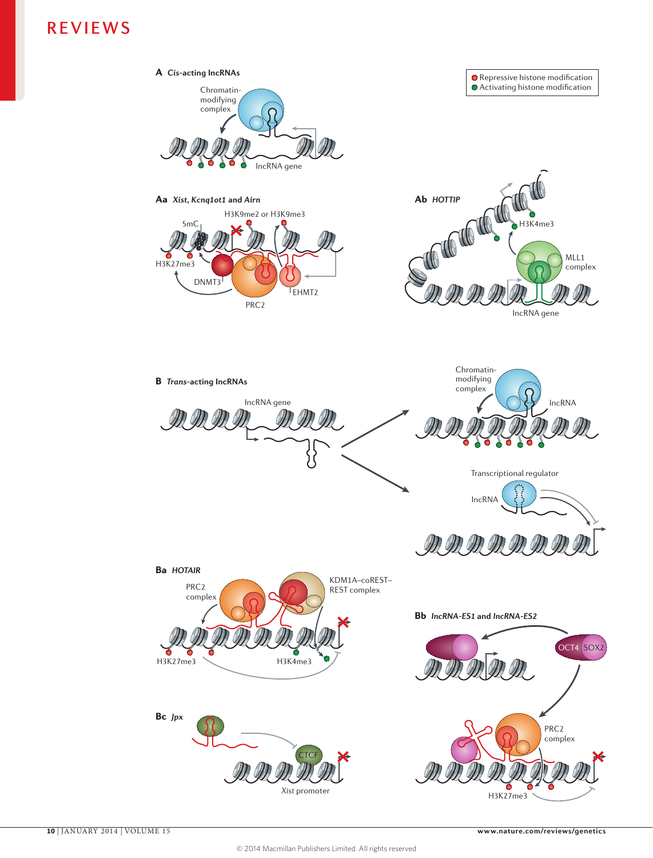

H3K27me3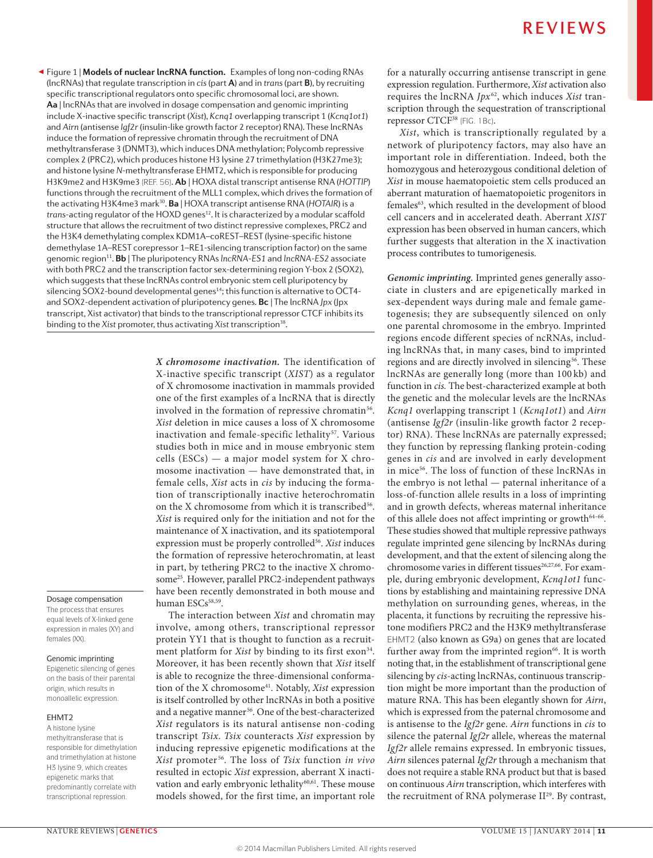Figure 1 | **Models of nuclear lncRNA function.** Examples of long non-coding RNAs ◀ (lncRNAs) that regulate transcription in *cis* (part **A**) and in *trans* (part **B**), by recruiting specific transcriptional regulators onto specific chromosomal loci, are shown. **Aa** | lncRNAs that are involved in dosage compensation and genomic imprinting include X-inactive specific transcript (*Xist*), *Kcnq1* overlapping transcript 1 (*Kcnq1ot1*) and *Airn* (antisense *Igf2r* (insulin-like growth factor 2 receptor) RNA). These lncRNAs induce the formation of repressive chromatin through the recruitment of DNA methyltransferase 3 (DNMT3), which induces DNA methylation; Polycomb repressive complex 2 (PRC2), which produces histone H3 lysine 27 trimethylation (H3K27me3); and histone lysine *N*-methyltransferase EHMT2, which is responsible for producing H3K9me2 and H3K9me3 (REF. 56). **Ab** | HOXA distal transcript antisense RNA (*HOTTIP*) functions through the recruitment of the MLL1 complex, which drives the formation of the activating H3K4me3 mark<sup>30</sup>. **Ba** | HOXA transcript antisense RNA (HOTAIR) is a *trans*-acting regulator of the HOXD genes<sup>12</sup>. It is characterized by a modular scaffold structure that allows the recruitment of two distinct repressive complexes, PRC2 and the H3K4 demethylating complex KDM1A–coREST–REST (lysine-specific histone demethylase 1A–REST corepressor 1–RE1-silencing transcription factor) on the same genomic region11. **Bb** | The pluripotency RNAs *lncRNA-ES1* and *lncRNA-ES2* associate with both PRC2 and the transcription factor sex-determining region Y-box 2 (SOX2), which suggests that these lncRNAs control embryonic stem cell pluripotency by silencing SOX2-bound developmental genes<sup>14</sup>; this function is alternative to OCT4and SOX2‑dependent activation of pluripotency genes. **Bc** | The lncRNA *Jpx* (Jpx transcript, Xist activator) that binds to the transcriptional repressor CTCF inhibits its binding to the Xist promoter, thus activating Xist transcription<sup>38</sup>.

> *X chromosome inactivation.* The identification of X-inactive specific transcript (*XIST*) as a regulator of X chromosome inactivation in mammals provided one of the first examples of a lncRNA that is directly involved in the formation of repressive chromatin<sup>56</sup>. *Xist* deletion in mice causes a loss of X chromosome inactivation and female-specific lethality<sup>57</sup>. Various studies both in mice and in mouse embryonic stem cells (ESCs) — a major model system for X chromosome inactivation — have demonstrated that, in female cells, *Xist* acts in *cis* by inducing the formation of transcriptionally inactive heterochromatin on the X chromosome from which it is transcribed<sup>56</sup>. *Xist* is required only for the initiation and not for the maintenance of X inactivation, and its spatiotemporal expression must be properly controlled<sup>56</sup>. *Xist* induces the formation of repressive heterochromatin, at least in part, by tethering PRC2 to the inactive X chromosome<sup>25</sup>. However, parallel PRC2-independent pathways have been recently demonstrated in both mouse and human ESCs<sup>58,59</sup>.

> The interaction between *Xist* and chromatin may involve, among others, transcriptional repressor protein YY1 that is thought to function as a recruitment platform for *Xist* by binding to its first exon<sup>34</sup>. Moreover, it has been recently shown that *Xist* itself is able to recognize the three-dimensional conformation of the X chromosome<sup>41</sup>. Notably, *Xist* expression is itself controlled by other lncRNAs in both a positive and a negative manner<sup>56</sup>. One of the best-characterized *Xist* regulators is its natural antisense non-coding transcript *Tsix*. *Tsix* counteracts *Xist* expression by inducing repressive epigenetic modifications at the *Xist* promoter 56. The loss of *Tsix* function *in vivo* resulted in ectopic *Xist* expression, aberrant X inactivation and early embryonic lethality<sup>60,61</sup>. These mouse models showed, for the first time, an important role

for a naturally occurring antisense transcript in gene expression regulation. Furthermore, *Xist* activation also requires the lncRNA *Jpx*<sup>62</sup>, which induces *Xist* transcription through the sequestration of transcriptional repressor CTCF<sup>38</sup> (FIG. 1Bc).

*Xist*, which is transcriptionally regulated by a network of pluripotency factors, may also have an important role in differentiation. Indeed, both the homozygous and heterozygous conditional deletion of *Xist* in mouse haematopoietic stem cells produced an aberrant maturation of haematopoietic progenitors in females63, which resulted in the development of blood cell cancers and in accelerated death. Aberrant *XIST*  expression has been observed in human cancers, which further suggests that alteration in the X inactivation process contributes to tumorigenesis.

*Genomic imprinting.* Imprinted genes generally associate in clusters and are epigenetically marked in sex-dependent ways during male and female gametogenesis; they are subsequently silenced on only one parental chromosome in the embryo. Imprinted regions encode different species of ncRNAs, including lncRNAs that, in many cases, bind to imprinted regions and are directly involved in silencing<sup>56</sup>. These lncRNAs are generally long (more than 100 kb) and function in *cis.* The best-characterized example at both the genetic and the molecular levels are the lncRNAs *Kcnq1* overlapping transcript 1 (*Kcnq1ot1*) and *Airn*  (antisense *Igf2r* (insulin-like growth factor 2 receptor) RNA). These lncRNAs are paternally expressed; they function by repressing flanking protein-coding genes in *cis* and are involved in early development in mice56. The loss of function of these lncRNAs in the embryo is not lethal — paternal inheritance of a loss-of-function allele results in a loss of imprinting and in growth defects, whereas maternal inheritance of this allele does not affect imprinting or growth<sup>64-66</sup>. These studies showed that multiple repressive pathways regulate imprinted gene silencing by lncRNAs during development, and that the extent of silencing along the chromosome varies in different tissues<sup>26,27,66</sup>. For example, during embryonic development, *Kcnq1ot1* functions by establishing and maintaining repressive DNA methylation on surrounding genes, whereas, in the placenta, it functions by recruiting the repressive histone modifiers PRC2 and the H3K9 methyltransferase EHMT2 (also known as G9a) on genes that are located further away from the imprinted region<sup>66</sup>. It is worth noting that, in the establishment of transcriptional gene silencing by *cis*-acting lncRNAs, continuous transcription might be more important than the production of mature RNA. This has been elegantly shown for *Airn*, which is expressed from the paternal chromosome and is antisense to the *Igf2r* gene. *Airn* functions in *cis* to silence the paternal *Igf2r* allele, whereas the maternal *Igf2r* allele remains expressed. In embryonic tissues, *Airn* silences paternal *Igf2r* through a mechanism that does not require a stable RNA product but that is based on continuous *Airn* transcription, which interferes with the recruitment of RNA polymerase II<sup>29</sup>. By contrast,

#### Dosage compensation The process that ensures

equal levels of X-linked gene expression in males (XY) and females (XX).

#### Genomic imprinting

Epigenetic silencing of genes on the basis of their parental origin, which results in monoallelic expression.

#### EHMT2

A histone lysine methyltransferase that is responsible for dimethylation and trimethylation at histone H3 lysine 9, which creates epigenetic marks that predominantly correlate with transcriptional repression.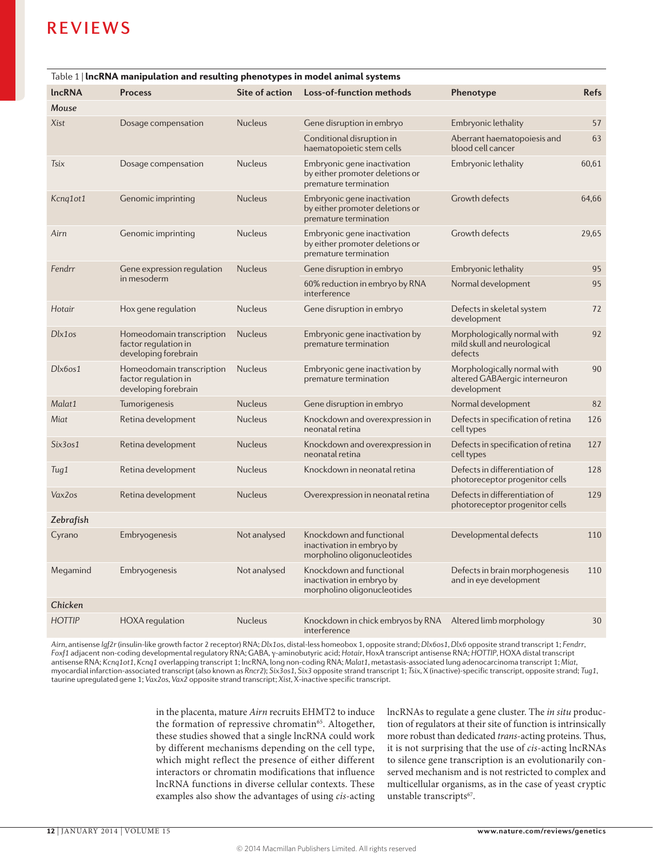| Table 1   IncRNA manipulation and resulting phenotypes in model animal systems |                                                                           |                |                                                                                         |                                                                             |             |
|--------------------------------------------------------------------------------|---------------------------------------------------------------------------|----------------|-----------------------------------------------------------------------------------------|-----------------------------------------------------------------------------|-------------|
| <b>IncRNA</b>                                                                  | <b>Process</b>                                                            | Site of action | Loss-of-function methods                                                                | Phenotype                                                                   | <b>Refs</b> |
| Mouse                                                                          |                                                                           |                |                                                                                         |                                                                             |             |
| Xist                                                                           | Dosage compensation                                                       | <b>Nucleus</b> | Gene disruption in embryo                                                               | Embryonic lethality                                                         | 57          |
|                                                                                |                                                                           |                | Conditional disruption in<br>haematopoietic stem cells                                  | Aberrant haematopoiesis and<br>blood cell cancer                            | 63          |
| Tsix                                                                           | Dosage compensation                                                       | <b>Nucleus</b> | Embryonic gene inactivation<br>by either promoter deletions or<br>premature termination | Embryonic lethality                                                         | 60,61       |
| Kcng1ot1                                                                       | Genomic imprinting                                                        | <b>Nucleus</b> | Embryonic gene inactivation<br>by either promoter deletions or<br>premature termination | Growth defects                                                              | 64,66       |
| Airn                                                                           | Genomic imprinting                                                        | <b>Nucleus</b> | Embryonic gene inactivation<br>by either promoter deletions or<br>premature termination | <b>Growth defects</b>                                                       | 29,65       |
| Fendrr                                                                         | Gene expression regulation<br>in mesoderm                                 | <b>Nucleus</b> | Gene disruption in embryo                                                               | Embryonic lethality                                                         | 95          |
|                                                                                |                                                                           |                | 60% reduction in embryo by RNA<br>interference                                          | Normal development                                                          | 95          |
| Hotair                                                                         | Hox gene regulation                                                       | <b>Nucleus</b> | Gene disruption in embryo                                                               | Defects in skeletal system<br>development                                   | 72          |
| Dlx1os                                                                         | Homeodomain transcription<br>factor regulation in<br>developing forebrain | <b>Nucleus</b> | Embryonic gene inactivation by<br>premature termination                                 | Morphologically normal with<br>mild skull and neurological<br>defects       | 92          |
| $Dk$ <i>fos</i> $1$                                                            | Homeodomain transcription<br>factor regulation in<br>developing forebrain | <b>Nucleus</b> | Embryonic gene inactivation by<br>premature termination                                 | Morphologically normal with<br>altered GABAergic interneuron<br>development | 90          |
| Malat1                                                                         | Tumorigenesis                                                             | <b>Nucleus</b> | Gene disruption in embryo                                                               | Normal development                                                          | 82          |
| Miat                                                                           | Retina development                                                        | <b>Nucleus</b> | Knockdown and overexpression in<br>neonatal retina                                      | Defects in specification of retina<br>cell types                            | 126         |
| Six3os1                                                                        | Retina development                                                        | <b>Nucleus</b> | Knockdown and overexpression in<br>neonatal retina                                      | Defects in specification of retina<br>cell types                            | 127         |
| Tug1                                                                           | Retina development                                                        | <b>Nucleus</b> | Knockdown in neonatal retina                                                            | Defects in differentiation of<br>photoreceptor progenitor cells             | 128         |
| Vax2os                                                                         | Retina development                                                        | <b>Nucleus</b> | Overexpression in neonatal retina                                                       | Defects in differentiation of<br>photoreceptor progenitor cells             | 129         |
| Zebrafish                                                                      |                                                                           |                |                                                                                         |                                                                             |             |
| Cyrano                                                                         | Embryogenesis                                                             | Not analysed   | Knockdown and functional<br>inactivation in embryo by<br>morpholino oligonucleotides    | Developmental defects                                                       | 110         |
| Megamind                                                                       | Embryogenesis                                                             | Not analysed   | Knockdown and functional<br>inactivation in embryo by<br>morpholino oligonucleotides    | Defects in brain morphogenesis<br>and in eye development                    | 110         |
| Chicken                                                                        |                                                                           |                |                                                                                         |                                                                             |             |
| <b>HOTTIP</b>                                                                  | <b>HOXA</b> regulation                                                    | <b>Nucleus</b> | Knockdown in chick embryos by RNA Altered limb morphology<br>interference               |                                                                             | 30          |

*Airn*, antisense *Igf2r* (insulin-like growth factor 2 receptor) RNA; *Dlx1os*, distal-less homeobox 1, opposite strand; *Dlx6os1*, *Dlx6* opposite strand transcript 1; *Fendrr*, *Foxf1* adjacent non-coding developmental regulatory RNA; GABA, γ-aminobutyric acid; *Hotair*, HoxA transcript antisense RNA; *HOTTIP*, HOXA distal transcript antisense RNA; *Kcnq1ot1*, *Kcnq1* overlapping transcript 1; lncRNA, long non-coding RNA; *Malat1*, metastasis-associated lung adenocarcinoma transcript 1; *Miat*, myocardial infarction-associated transcript (also known as *Rncr2*); *Six3os1*, *Six3* opposite strand transcript 1; *Tsix*, X (inactive)-specific transcript, opposite strand; *Tug1*, taurine upregulated gene 1; *Vax2os*, *Vax2* opposite strand transcript; *Xist*, X-inactive specific transcript.

> in the placenta, mature *Airn* recruits EHMT2 to induce the formation of repressive chromatin<sup>65</sup>. Altogether, these studies showed that a single lncRNA could work by different mechanisms depending on the cell type, which might reflect the presence of either different interactors or chromatin modifications that influence lncRNA functions in diverse cellular contexts. These examples also show the advantages of using *cis*-acting

lncRNAs to regulate a gene cluster. The *in situ* production of regulators at their site of function is intrinsically more robust than dedicated *trans*-acting proteins. Thus, it is not surprising that the use of *cis*-acting lncRNAs to silence gene transcription is an evolutionarily conserved mechanism and is not restricted to complex and multicellular organisms, as in the case of yeast cryptic unstable transcripts<sup>67</sup>.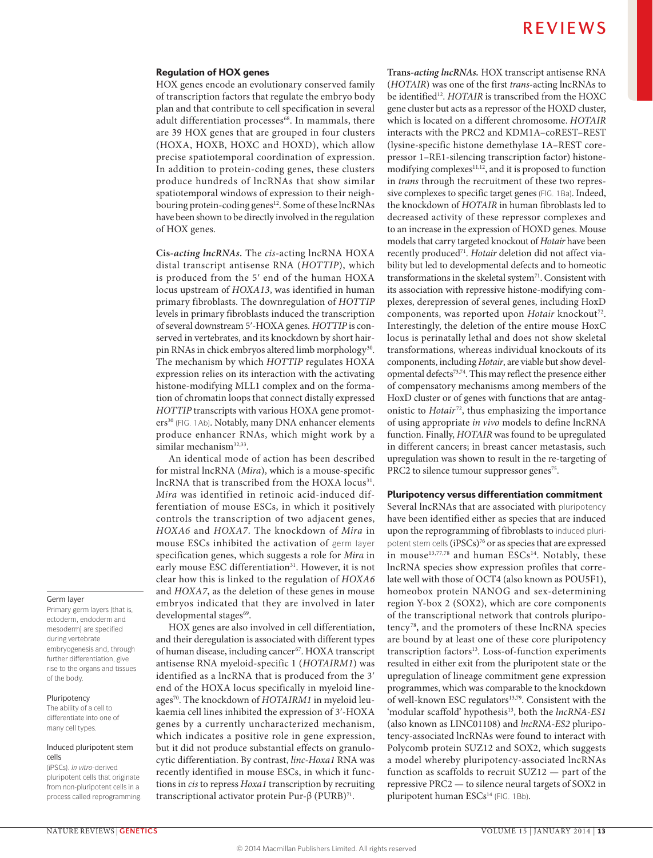#### Regulation of HOX genes

HOX genes encode an evolutionary conserved family of transcription factors that regulate the embryo body plan and that contribute to cell specification in several adult differentiation processes<sup>68</sup>. In mammals, there are 39 HOX genes that are grouped in four clusters (HOXA, HOXB, HOXC and HOXD), which allow precise spatiotemporal coordination of expression. In addition to protein-coding genes, these clusters produce hundreds of lncRNAs that show similar spatiotemporal windows of expression to their neighbouring protein-coding genes<sup>12</sup>. Some of these lncRNAs have been shown to be directly involved in the regulation of HOX genes.

**Cis***-acting lncRNAs.* The *cis*-acting lncRNA HOXA distal transcript antisense RNA (*HOTTIP*), which is produced from the 5ʹ end of the human HOXA locus upstream of *HOXA13*, was identified in human primary fibroblasts. The downregulation of *HOTTIP* levels in primary fibroblasts induced the transcription of several downstream 5ʹ-HOXA genes. *HOTTIP* is conserved in vertebrates, and its knockdown by short hairpin RNAs in chick embryos altered limb morphology<sup>30</sup>. The mechanism by which *HOTTIP* regulates HOXA expression relies on its interaction with the activating histone-modifying MLL1 complex and on the formation of chromatin loops that connect distally expressed *HOTTIP* transcripts with various HOXA gene promoters<sup>30</sup> (FIG. 1Ab). Notably, many DNA enhancer elements produce enhancer RNAs, which might work by a similar mechanism<sup>32,33</sup>.

An identical mode of action has been described for mistral lncRNA (*Mira*), which is a mouse-specific lncRNA that is transcribed from the HOXA locus<sup>31</sup>. *Mira* was identified in retinoic acid-induced differentiation of mouse ESCs, in which it positively controls the transcription of two adjacent genes, *HOXA6* and *HOXA7*. The knockdown of *Mira* in mouse ESCs inhibited the activation of germ layer specification genes, which suggests a role for *Mira* in early mouse ESC differentiation<sup>31</sup>. However, it is not clear how this is linked to the regulation of *HOXA6* and *HOXA7*, as the deletion of these genes in mouse embryos indicated that they are involved in later developmental stages<sup>69</sup>.

HOX genes are also involved in cell differentiation, and their deregulation is associated with different types of human disease, including cancer<sup>67</sup>. HOXA transcript antisense RNA myeloid-specific 1 (*HOTAIRM1*) was identified as a lncRNA that is produced from the 3ʹ end of the HOXA locus specifically in myeloid lineages70. The knockdown of *HOTAIRM1* in myeloid leukaemia cell lines inhibited the expression of 3ʹ-HOXA genes by a currently uncharacterized mechanism, which indicates a positive role in gene expression, but it did not produce substantial effects on granulocytic differentiation. By contrast, *linc‑Hoxa1* RNA was recently identified in mouse ESCs, in which it functions in *cis* to repress *Hoxa1* transcription by recruiting transcriptional activator protein Pur-β (PURB)<sup>71</sup>.

**Trans***-acting lncRNAs.* HOX transcript antisense RNA (*HOTAIR*) was one of the first *trans*-acting lncRNAs to be identified<sup>12</sup>. *HOTAIR* is transcribed from the HOXC gene cluster but acts as a repressor of the HOXD cluster, which is located on a different chromosome. *HOTAIR* interacts with the PRC2 and KDM1A–coREST–REST (lysine-specific histone demethylase 1A–REST corepressor 1–RE1-silencing transcription factor) histonemodifying complexes<sup>11,12</sup>, and it is proposed to function in *trans* through the recruitment of these two repressive complexes to specific target genes (FIG. 1Ba). Indeed, the knockdown of *HOTAIR* in human fibroblasts led to decreased activity of these repressor complexes and to an increase in the expression of HOXD genes. Mouse models that carry targeted knockout of *Hotair* have been recently produced<sup>71</sup>. *Hotair* deletion did not affect viability but led to developmental defects and to homeotic transformations in the skeletal system<sup>71</sup>. Consistent with its association with repressive histone-modifying complexes, derepression of several genes, including HoxD components, was reported upon *Hotair* knockout<sup>72</sup>. Interestingly, the deletion of the entire mouse HoxC locus is perinatally lethal and does not show skeletal transformations, whereas individual knockouts of its components, including *Hotair*, are viable but show developmental defects73,74. This may reflect the presence either of compensatory mechanisms among members of the HoxD cluster or of genes with functions that are antagonistic to *Hotair*<sup>72</sup>, thus emphasizing the importance of using appropriate *in vivo* models to define lncRNA function. Finally, *HOTAIR* was found to be upregulated in different cancers; in breast cancer metastasis, such upregulation was shown to result in the re-targeting of PRC2 to silence tumour suppressor genes<sup>75</sup>.

#### Pluripotency versus differentiation commitment

Several lncRNAs that are associated with pluripotency have been identified either as species that are induced upon the reprogramming of fibroblasts to induced pluripotent stem cells (iPSCs)<sup>76</sup> or as species that are expressed in mouse<sup>13,77,78</sup> and human ESCs<sup>14</sup>. Notably, these lncRNA species show expression profiles that correlate well with those of OCT4 (also known as POU5F1), homeobox protein NANOG and sex-determining region Y-box 2 (SOX2), which are core components of the transcriptional network that controls pluripotency 78, and the promoters of these lncRNA species are bound by at least one of these core pluripotency transcription factors<sup>13</sup>. Loss-of-function experiments resulted in either exit from the pluripotent state or the upregulation of lineage commitment gene expression programmes, which was comparable to the knockdown of well-known ESC regulators<sup>13,79</sup>. Consistent with the 'modular scaffold' hypothesis<sup>13</sup>, both the *lncRNA-ES1* (also known as LINC01108) and *lncRNA‑ES2* pluripotency-associated lncRNAs were found to interact with Polycomb protein SUZ12 and SOX2, which suggests a model whereby pluripotency-associated lncRNAs function as scaffolds to recruit SUZ12 — part of the repressive PRC2 — to silence neural targets of SOX2 in pluripotent human ESCs<sup>14</sup> (FIG. 1Bb).

#### Germ layer

Primary germ layers (that is, ectoderm, endoderm and mesoderm) are specified during vertebrate embryogenesis and, through further differentiation, give rise to the organs and tissues of the body.

#### Pluripotency

The ability of a cell to differentiate into one of many cell types.

#### Induced pluripotent stem cells

(iPSCs). *In vitro*-derived pluripotent cells that originate from non-pluripotent cells in a process called reprogramming.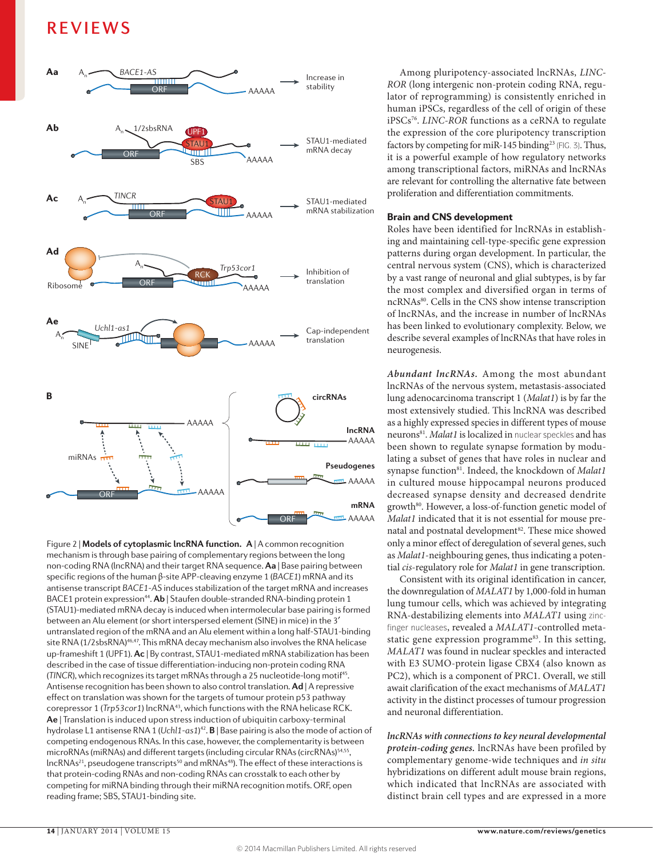

mechanism is through base pairing of complementary regions between the long Figure 2 | **Models of cytoplasmic lncRNA function. A** | A common recognition non-coding RNA (lncRNA) and their target RNA sequence. **Aa** | Base pairing between specific regions of the human β-site APP-cleaving enzyme 1 (*BACE1*) mRNA and its antisense transcript *BACE1-AS* induces stabilization of the target mRNA and increases BACE1 protein expression<sup>44</sup>. Ab | Staufen double-stranded RNA-binding protein 1 (STAU1)-mediated mRNA decay is induced when intermolecular base pairing is formed between an Alu element (or short interspersed element (SINE) in mice) in the 3′ untranslated region of the mRNA and an Alu element within a long half-STAU1-binding site RNA (1/2sbsRNA)<sup>46,47</sup>. This mRNA decay mechanism also involves the RNA helicase up-frameshift 1 (UPF1). **Ac** | By contrast, STAU1-mediated mRNA stabilization has been described in the case of tissue differentiation-inducing non-protein coding RNA (*TINCR*), which recognizes its target mRNAs through a 25 nucleotide-long motif<sup>45</sup>. Antisense recognition has been shown to also control translation. **Ad** | A repressive effect on translation was shown for the targets of tumour protein p53 pathway corepressor 1 (*Trp53cor1*) lncRNA43, which functions with the RNA helicase RCK. **Ae** | Translation is induced upon stress induction of ubiquitin carboxy-terminal hydrolase L1 antisense RNA 1 (*Uchl1-as1*) <sup>42</sup>. **B** | Base pairing is also the mode of action of competing endogenous RNAs. In this case, however, the complementarity is between microRNAs (miRNAs) and different targets (including circular RNAs (circRNAs)<sup>54,55</sup>, lncRNAs<sup>21</sup>, pseudogene transcripts<sup>50</sup> and mRNAs<sup>48</sup>). The effect of these interactions is that protein-coding RNAs and non-coding RNAs can crosstalk to each other by competing for miRNA binding through their miRNA recognition motifs. ORF, open reading frame; SBS, STAU1‑binding site.

Among pluripotency-associated lncRNAs, *LINC-ROR* (long intergenic non-protein coding RNA, regulator of reprogramming) is consistently enriched in human iPSCs, regardless of the cell of origin of these iPSCs76. *LINC-ROR* functions as a ceRNA to regulate the expression of the core pluripotency transcription factors by competing for miR-145 binding<sup>23</sup> (FIG. 3). Thus, it is a powerful example of how regulatory networks among transcriptional factors, miRNAs and lncRNAs are relevant for controlling the alternative fate between proliferation and differentiation commitments.

#### Brain and CNS development

Roles have been identified for lncRNAs in establishing and maintaining cell-type-specific gene expression patterns during organ development. In particular, the central nervous system (CNS), which is characterized by a vast range of neuronal and glial subtypes, is by far the most complex and diversified organ in terms of ncRNAs80. Cells in the CNS show intense transcription of lncRNAs, and the increase in number of lncRNAs has been linked to evolutionary complexity. Below, we describe several examples of lncRNAs that have roles in neurogenesis.

*Abundant lncRNAs.* Among the most abundant lncRNAs of the nervous system, metastasis-associated lung adenocarcinoma transcript 1 (*Malat1*) is by far the most extensively studied. This lncRNA was described as a highly expressed species in different types of mouse neurons<sup>81</sup>. *Malat1* is localized in nuclear speckles and has been shown to regulate synapse formation by modulating a subset of genes that have roles in nuclear and synapse function<sup>81</sup>. Indeed, the knockdown of *Malat1* in cultured mouse hippocampal neurons produced decreased synapse density and decreased dendrite growth<sup>80</sup>. However, a loss-of-function genetic model of *Malat1* indicated that it is not essential for mouse prenatal and postnatal development<sup>82</sup>. These mice showed only a minor effect of deregulation of several genes, such as *Malat1*-neighbouring genes, thus indicating a potential *cis*-regulatory role for *Malat1* in gene transcription.

Consistent with its original identification in cancer, the downregulation of *MALAT1* by 1,000-fold in human lung tumour cells, which was achieved by integrating RNA-destabilizing elements into *MALAT1* using zincfinger nucleases, revealed a *MALAT1*-controlled metastatic gene expression programme<sup>83</sup>. In this setting, *MALAT1* was found in nuclear speckles and interacted with E3 SUMO-protein ligase CBX4 (also known as PC2), which is a component of PRC1. Overall, we still await clarification of the exact mechanisms of *MALAT1* activity in the distinct processes of tumour progression and neuronal differentiation.

*lncRNAs with connections to key neural developmental protein-coding genes.* lncRNAs have been profiled by complementary genome-wide techniques and *in situ* hybridizations on different adult mouse brain regions, which indicated that lncRNAs are associated with distinct brain cell types and are expressed in a more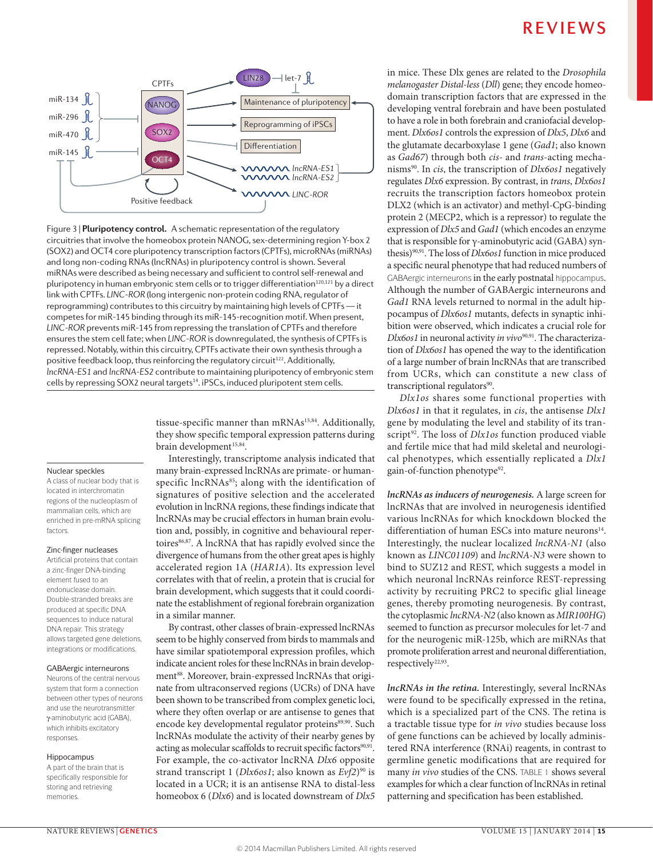

**Figure 3 | <b>Pluripotency control.** A schematic representation of the regulatory circuitries that involve the homeobox protein NANOG, sex-determining region Y-box 2 (SOX2) and OCT4 core pluripotency transcription factors (CPTFs), microRNAs (miRNAs) and long non-coding RNAs (lncRNAs) in pluripotency control is shown. Several miRNAs were described as being necessary and sufficient to control self-renewal and pluripotency in human embryonic stem cells or to trigger differentiation<sup>120,121</sup> by a direct link with CPTFs. *LINC-ROR* (long intergenic non-protein coding RNA, regulator of reprogramming) contributes to this circuitry by maintaining high levels of CPTFs — it competes for miR‑145 binding through its miR‑145‑recognition motif. When present, *LINC-ROR* prevents miR‑145 from repressing the translation of CPTFs and therefore ensures the stem cell fate; when *LINC-ROR* is downregulated, the synthesis of CPTFs is repressed. Notably, within this circuitry, CPTFs activate their own synthesis through a positive feedback loop, thus reinforcing the regulatory circuit<sup>122</sup>. Additionally, *lncRNA-ES1* and *lncRNA-ES2* contribute to maintaining pluripotency of embryonic stem cells by repressing SOX2 neural targets<sup>14</sup>. iPSCs, induced pluripotent stem cells.

> tissue-specific manner than mRNAs<sup>15,84</sup>. Additionally, they show specific temporal expression patterns during brain development<sup>15,84</sup>.

> Interestingly, transcriptome analysis indicated that many brain-expressed lncRNAs are primate- or humanspecific lncRNAs<sup>85</sup>; along with the identification of signatures of positive selection and the accelerated evolution in lncRNA regions, these findings indicate that lncRNAs may be crucial effectors in human brain evolution and, possibly, in cognitive and behavioural repertoires<sup>86,87</sup>. A lncRNA that has rapidly evolved since the divergence of humans from the other great apes is highly accelerated region 1A (*HAR1A*). Its expression level correlates with that of reelin, a protein that is crucial for brain development, which suggests that it could coordinate the establishment of regional forebrain organization in a similar manner.

> By contrast, other classes of brain-expressed lncRNAs seem to be highly conserved from birds to mammals and have similar spatiotemporal expression profiles, which indicate ancient roles for these lncRNAs in brain development<sup>88</sup>. Moreover, brain-expressed lncRNAs that originate from ultraconserved regions (UCRs) of DNA have been shown to be transcribed from complex genetic loci, where they often overlap or are antisense to genes that encode key developmental regulator proteins<sup>89,90</sup>. Such lncRNAs modulate the activity of their nearby genes by acting as molecular scaffolds to recruit specific factors<sup>90,91</sup>. For example, the co-activator lncRNA *Dlx6* opposite strand transcript 1 (*Dlx6os1*; also known as  $Ev f2$ <sup>90</sup> is located in a UCR; it is an antisense RNA to distal-less homeobox 6 (*Dlx6*) and is located downstream of *Dlx5*

in mice. These Dlx genes are related to the *Drosophila melanogaster Distal-less* (*Dll*) gene; they encode homeodomain transcription factors that are expressed in the developing ventral forebrain and have been postulated to have a role in both forebrain and craniofacial development. *Dlx6os1* controls the expression of *Dlx5*, *Dlx6* and the glutamate decarboxylase 1 gene (*Gad1*; also known as *Gad67*) through both *cis-* and *trans*-acting mechanisms90. In *cis*, the transcription of *Dlx6os1* negatively regulates *Dlx6* expression. By contrast, in *trans*, *Dlx6os1* recruits the transcription factors homeobox protein DLX2 (which is an activator) and methyl-CpG-binding protein 2 (MECP2, which is a repressor) to regulate the expression of *Dlx5* and *Gad1* (which encodes an enzyme that is responsible for γ-aminobutyric acid (GABA) synthesis)90,91. The loss of *Dlx6os1* function in mice produced a specific neural phenotype that had reduced numbers of GABAergic interneurons in the early postnatal hippocampus. Although the number of GABAergic interneurons and *Gad1* RNA levels returned to normal in the adult hippocampus of *Dlx6os1* mutants, defects in synaptic inhibition were observed, which indicates a crucial role for *Dlx6os1* in neuronal activity *in vivo*90,91. The characterization of *Dlx6os1* has opened the way to the identification of a large number of brain lncRNAs that are transcribed from UCRs, which can constitute a new class of transcriptional regulators<sup>90</sup>.

*Dlx1os* shares some functional properties with *Dlx6os1* in that it regulates, in *cis*, the antisense *Dlx1* gene by modulating the level and stability of its transcript<sup>92</sup>. The loss of *Dlx1os* function produced viable and fertile mice that had mild skeletal and neurological phenotypes, which essentially replicated a *Dlx1* gain-of-function phenotype<sup>92</sup>.

*lncRNAs as inducers of neurogenesis.* A large screen for lncRNAs that are involved in neurogenesis identified various lncRNAs for which knockdown blocked the differentiation of human ESCs into mature neurons $14$ . Interestingly, the nuclear localized *lncRNA‑N1* (also known as *LINC01109*) and *lncRNA‑N3* were shown to bind to SUZ12 and REST, which suggests a model in which neuronal lncRNAs reinforce REST-repressing activity by recruiting PRC2 to specific glial lineage genes, thereby promoting neurogenesis. By contrast, the cytoplasmic *lncRNA‑N2* (also known as *MIR100HG*) seemed to function as precursor molecules for let-7 and for the neurogenic miR-125b, which are miRNAs that promote proliferation arrest and neuronal differentiation, respectively<sup>22,93</sup>.

*lncRNAs in the retina.* Interestingly, several lncRNAs were found to be specifically expressed in the retina, which is a specialized part of the CNS. The retina is a tractable tissue type for *in vivo* studies because loss of gene functions can be achieved by locally administered RNA interference (RNAi) reagents, in contrast to germline genetic modifications that are required for many *in vivo* studies of the CNS. TABLE 1 shows several examples for which a clear function of lncRNAs in retinal patterning and specification has been established.

#### Nuclear speckles

A class of nuclear body that is located in interchromatin regions of the nucleoplasm of mammalian cells, which are enriched in pre-mRNA splicing factors.

#### Zinc-finger nucleases

Artificial proteins that contain a zinc-finger DNA-binding element fused to an endonuclease domain. Double-stranded breaks are produced at specific DNA sequences to induce natural DNA repair. This strategy allows targeted gene deletions, integrations or modifications.

#### GABAergic interneurons

Neurons of the central nervous system that form a connection between other types of neurons and use the neurotransmitter γ-aminobutyric acid (GABA), which inhibits excitatory responses.

#### Hippocampus

A part of the brain that is specifically responsible for storing and retrieving memories.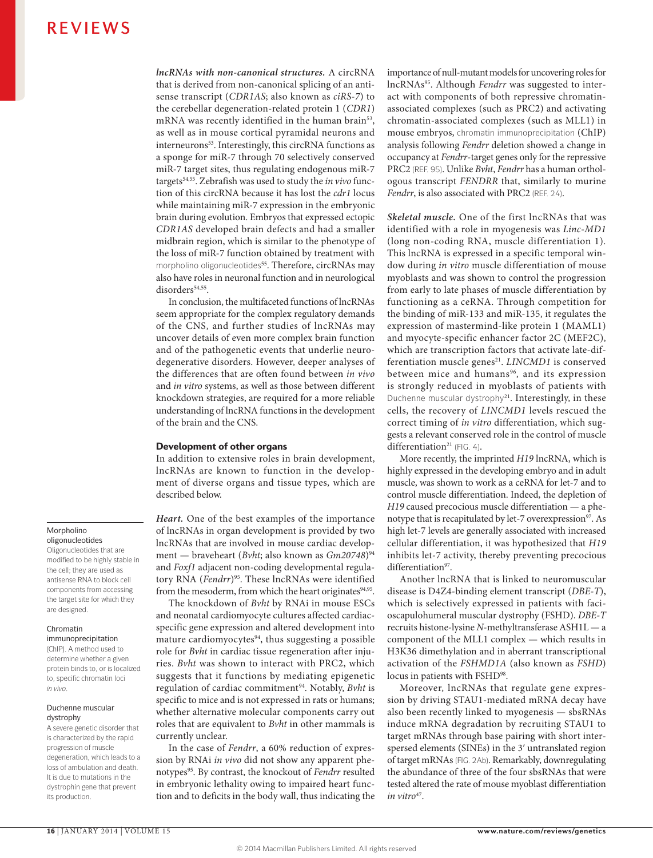*lncRNAs with non-canonical structures.* A circRNA that is derived from non-canonical splicing of an antisense transcript (*CDR1AS*; also known as *ciRS‑7*) to the cerebellar degeneration-related protein 1 (*CDR1*) mRNA was recently identified in the human brain<sup>53</sup>, as well as in mouse cortical pyramidal neurons and interneurons<sup>53</sup>. Interestingly, this circRNA functions as a sponge for miR-7 through 70 selectively conserved miR-7 target sites, thus regulating endogenous miR-7 targets54,55. Zebrafish was used to study the *in vivo* function of this circRNA because it has lost the *cdr1* locus while maintaining miR-7 expression in the embryonic brain during evolution. Embryos that expressed ectopic *CDR1AS* developed brain defects and had a smaller midbrain region, which is similar to the phenotype of the loss of miR-7 function obtained by treatment with morpholino oligonucleotides<sup>55</sup>. Therefore, circRNAs may also have roles in neuronal function and in neurological disorders<sup>54,55</sup>.

In conclusion, the multifaceted functions of lncRNAs seem appropriate for the complex regulatory demands of the CNS, and further studies of lncRNAs may uncover details of even more complex brain function and of the pathogenetic events that underlie neurodegenerative disorders. However, deeper analyses of the differences that are often found between *in vivo* and *in vitro* systems, as well as those between different knockdown strategies, are required for a more reliable understanding of lncRNA functions in the development of the brain and the CNS.

#### Development of other organs

In addition to extensive roles in brain development, lncRNAs are known to function in the development of diverse organs and tissue types, which are described below.

*Heart.* One of the best examples of the importance of lncRNAs in organ development is provided by two lncRNAs that are involved in mouse cardiac development — braveheart (*Bvht*; also known as  $Gm20748$ <sup>94</sup> and *Foxf1* adjacent non-coding developmental regulatory RNA (*Fendrr*)<sup>95</sup>. These lncRNAs were identified from the mesoderm, from which the heart originates<sup>94,95</sup>.

The knockdown of *Bvht* by RNAi in mouse ESCs and neonatal cardiomyocyte cultures affected cardiacspecific gene expression and altered development into mature cardiomyocytes<sup>94</sup>, thus suggesting a possible role for *Bvht* in cardiac tissue regeneration after injuries. *Bvht* was shown to interact with PRC2, which suggests that it functions by mediating epigenetic regulation of cardiac commitment<sup>94</sup>. Notably, *Bvht* is specific to mice and is not expressed in rats or humans; whether alternative molecular components carry out roles that are equivalent to *Bvht* in other mammals is currently unclear.

In the case of *Fendrr*, a 60% reduction of expression by RNAi *in vivo* did not show any apparent phenotypes95. By contrast, the knockout of *Fendrr* resulted in embryonic lethality owing to impaired heart function and to deficits in the body wall, thus indicating the importance of null-mutant models for uncovering roles for lncRNAs95. Although *Fendrr* was suggested to interact with components of both repressive chromatinassociated complexes (such as PRC2) and activating chromatin-associated complexes (such as MLL1) in mouse embryos, chromatin immunoprecipitation (ChIP) analysis following *Fendrr* deletion showed a change in occupancy at *Fendrr*-target genes only for the repressive PRC2 (REF. 95). Unlike *Bvht*, *Fendrr* has a human orthologous transcript *FENDRR* that, similarly to murine *Fendrr*, is also associated with PRC2 (REF. 24).

*Skeletal muscle.* One of the first lncRNAs that was identified with a role in myogenesis was *Linc‑MD1* (long non-coding RNA, muscle differentiation 1). This lncRNA is expressed in a specific temporal window during *in vitro* muscle differentiation of mouse myoblasts and was shown to control the progression from early to late phases of muscle differentiation by functioning as a ceRNA. Through competition for the binding of miR-133 and miR-135, it regulates the expression of mastermind-like protein 1 (MAML1) and myocyte-specific enhancer factor 2C (MEF2C), which are transcription factors that activate late-differentiation muscle genes<sup>21</sup>. *LINCMD1* is conserved between mice and humans<sup>96</sup>, and its expression is strongly reduced in myoblasts of patients with Duchenne muscular dystrophy<sup>21</sup>. Interestingly, in these cells, the recovery of *LINCMD1* levels rescued the correct timing of *in vitro* differentiation, which suggests a relevant conserved role in the control of muscle  $differential$  (FIG. 4).

More recently, the imprinted *H19* lncRNA, which is highly expressed in the developing embryo and in adult muscle, was shown to work as a ceRNA for let-7 and to control muscle differentiation. Indeed, the depletion of *H19* caused precocious muscle differentiation — a phenotype that is recapitulated by let-7 overexpression<sup>97</sup>. As high let-7 levels are generally associated with increased cellular differentiation, it was hypothesized that *H19* inhibits let-7 activity, thereby preventing precocious differentiation<sup>97</sup>.

Another lncRNA that is linked to neuromuscular disease is D4Z4-binding element transcript (*DBE‑T*), which is selectively expressed in patients with facioscapulohumeral muscular dystrophy (FSHD). *DBE‑T* recruits histone-lysine *N*-methyltransferase ASH1L — a component of the MLL1 complex — which results in H3K36 dimethylation and in aberrant transcriptional activation of the *FSHMD1A* (also known as *FSHD*) locus in patients with FSHD<sup>98</sup>.

Moreover, lncRNAs that regulate gene expression by driving STAU1-mediated mRNA decay have also been recently linked to myogenesis — sbsRNAs induce mRNA degradation by recruiting STAU1 to target mRNAs through base pairing with short interspersed elements (SINEs) in the 3ʹ untranslated region of target mRNAs (FIG. 2Ab). Remarkably, downregulating the abundance of three of the four sbsRNAs that were tested altered the rate of mouse myoblast differentiation *in vitro*47.

#### Morpholino oligonucleotides

Oligonucleotides that are modified to be highly stable in the cell; they are used as antisense RNA to block cell components from accessing the target site for which they are designed.

#### Chromatin

immunoprecipitation (ChIP). A method used to determine whether a given protein binds to, or is localized to, specific chromatin loci *in vivo*.

#### Duchenne muscular dystrophy

A severe genetic disorder that is characterized by the rapid progression of muscle degeneration, which leads to a loss of ambulation and death. It is due to mutations in the dystrophin gene that prevent its production.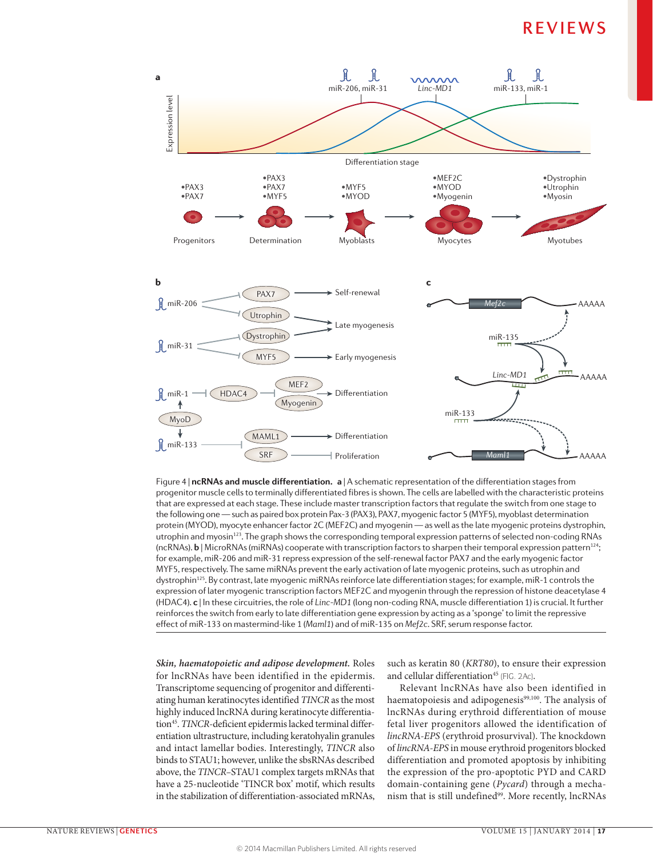

Figure 4 | **ncRNAs and muscle differentiation. a** | A schematic representation of the differentiation stages from progenitor muscle cells to terminally differentiated fibres is shown. The cells are labelled with the characteristic proteins **Nature Reviews** | **Genetics** that are expressed at each stage. These include master transcription factors that regulate the switch from one stage to the following one — such as paired box protein Pax‑3 (PAX3), PAX7, myogenic factor 5 (MYF5), myoblast determination protein (MYOD), myocyte enhancer factor 2C (MEF2C) and myogenin — as well as the late myogenic proteins dystrophin, utrophin and myosin<sup>123</sup>. The graph shows the corresponding temporal expression patterns of selected non-coding RNAs (ncRNAs). **b** | MicroRNAs (miRNAs) cooperate with transcription factors to sharpen their temporal expression pattern124; for example, miR‑206 and miR‑31 repress expression of the self-renewal factor PAX7 and the early myogenic factor MYF5, respectively. The same miRNAs prevent the early activation of late myogenic proteins, such as utrophin and dystrophin<sup>125</sup>. By contrast, late myogenic miRNAs reinforce late differentiation stages; for example, miR-1 controls the expression of later myogenic transcription factors MEF2C and myogenin through the repression of histone deacetylase 4 (HDAC4). **c** | In these circuitries, the role of *Linc-MD1* (long non-coding RNA, muscle differentiation 1) is crucial. It further reinforces the switch from early to late differentiation gene expression by acting as a 'sponge' to limit the repressive effect of miR‑133 on mastermind-like 1 (*Maml1*) and of miR‑135 on *Mef2c*. SRF, serum response factor.

*Skin, haematopoietic and adipose development.* Roles for lncRNAs have been identified in the epidermis. Transcriptome sequencing of progenitor and differentiating human keratinocytes identified *TINCR* as the most highly induced lncRNA during keratinocyte differentiation<sup>45</sup>. *TINCR*-deficient epidermis lacked terminal differentiation ultrastructure, including keratohyalin granules and intact lamellar bodies. Interestingly, *TINCR* also binds to STAU1; however, unlike the sbsRNAs described above, the *TINCR–*STAU1 complex targets mRNAs that have a 25-nucleotide 'TINCR box' motif, which results in the stabilization of differentiation-associated mRNAs,

such as keratin 80 (*KRT80*), to ensure their expression and cellular differentiation<sup>45</sup> (FIG. 2Ac).

Relevant lncRNAs have also been identified in haematopoiesis and adipogenesis<sup>99,100</sup>. The analysis of lncRNAs during erythroid differentiation of mouse fetal liver progenitors allowed the identification of *lincRNA-EPS* (erythroid prosurvival). The knockdown of *lincRNA-EPS* in mouse erythroid progenitors blocked differentiation and promoted apoptosis by inhibiting the expression of the pro-apoptotic PYD and CARD domain-containing gene (*Pycard*) through a mechanism that is still undefined<sup>99</sup>. More recently, lncRNAs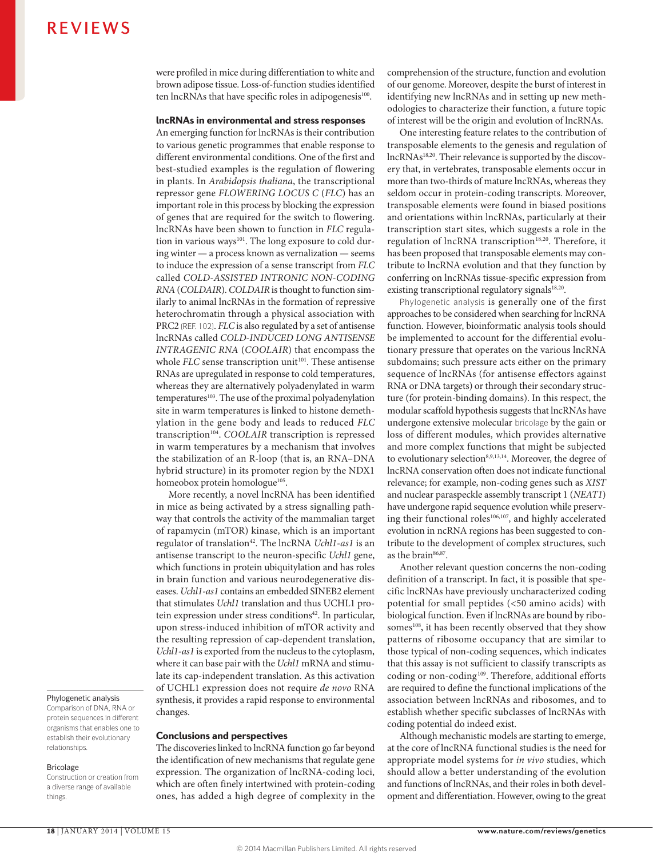were profiled in mice during differentiation to white and brown adipose tissue. Loss-of-function studies identified ten lncRNAs that have specific roles in adipogenesis<sup>100</sup>.

#### lncRNAs in environmental and stress responses

An emerging function for lncRNAs is their contribution to various genetic programmes that enable response to different environmental conditions. One of the first and best-studied examples is the regulation of flowering in plants. In *Arabidopsis thaliana*, the transcriptional repressor gene *FLOWERING LOCUS C* (*FLC*) has an important role in this process by blocking the expression of genes that are required for the switch to flowering. lncRNAs have been shown to function in *FLC* regulation in various ways<sup>101</sup>. The long exposure to cold during winter — a process known as vernalization — seems to induce the expression of a sense transcript from *FLC* called *COLD-ASSISTED INTRONIC NON-CODING RNA* (*COLDAIR*). *COLDAIR* is thought to function similarly to animal lncRNAs in the formation of repressive heterochromatin through a physical association with PRC2 (REF. 102). *FLC* is also regulated by a set of antisense lncRNAs called *COLD-INDUCED LONG ANTISENSE INTRAGENIC RNA* (*COOLAIR*) that encompass the whole *FLC* sense transcription unit<sup>101</sup>. These antisense RNAs are upregulated in response to cold temperatures, whereas they are alternatively polyadenylated in warm temperatures<sup>103</sup>. The use of the proximal polyadenylation site in warm temperatures is linked to histone demethylation in the gene body and leads to reduced *FLC* transcription<sup>104</sup>. *COOLAIR* transcription is repressed in warm temperatures by a mechanism that involves the stabilization of an R-loop (that is, an RNA–DNA hybrid structure) in its promoter region by the NDX1 homeobox protein homologue<sup>105</sup>.

More recently, a novel lncRNA has been identified in mice as being activated by a stress signalling pathway that controls the activity of the mammalian target of rapamycin (mTOR) kinase, which is an important regulator of translation<sup>42</sup>. The lncRNA *Uchl1-as1* is an antisense transcript to the neuron-specific *Uchl1* gene, which functions in protein ubiquitylation and has roles in brain function and various neurodegenerative diseases. *Uchl1‑as1* contains an embedded SINEB2 element that stimulates *Uchl1* translation and thus UCHL1 protein expression under stress conditions<sup>42</sup>. In particular, upon stress-induced inhibition of mTOR activity and the resulting repression of cap-dependent translation, *Uchl1‑as1* is exported from the nucleus to the cytoplasm, where it can base pair with the *Uchl1* mRNA and stimulate its cap-independent translation. As this activation of UCHL1 expression does not require *de novo* RNA synthesis, it provides a rapid response to environmental changes.

#### Conclusions and perspectives

The discoveries linked to lncRNA function go far beyond the identification of new mechanisms that regulate gene expression. The organization of lncRNA-coding loci, which are often finely intertwined with protein-coding ones, has added a high degree of complexity in the comprehension of the structure, function and evolution of our genome. Moreover, despite the burst of interest in identifying new lncRNAs and in setting up new methodologies to characterize their function, a future topic of interest will be the origin and evolution of lncRNAs.

One interesting feature relates to the contribution of transposable elements to the genesis and regulation of lncRNAs18,20. Their relevance is supported by the discovery that, in vertebrates, transposable elements occur in more than two-thirds of mature lncRNAs, whereas they seldom occur in protein-coding transcripts. Moreover, transposable elements were found in biased positions and orientations within lncRNAs, particularly at their transcription start sites, which suggests a role in the regulation of lncRNA transcription<sup>18,20</sup>. Therefore, it has been proposed that transposable elements may contribute to lncRNA evolution and that they function by conferring on lncRNAs tissue-specific expression from existing transcriptional regulatory signals<sup>18,20</sup>.

Phylogenetic analysis is generally one of the first approaches to be considered when searching for lncRNA function. However, bioinformatic analysis tools should be implemented to account for the differential evolutionary pressure that operates on the various lncRNA subdomains; such pressure acts either on the primary sequence of lncRNAs (for antisense effectors against RNA or DNA targets) or through their secondary structure (for protein-binding domains). In this respect, the modular scaffold hypothesis suggests that lncRNAs have undergone extensive molecular bricolage by the gain or loss of different modules, which provides alternative and more complex functions that might be subjected to evolutionary selection<sup>8,9,13,14</sup>. Moreover, the degree of lncRNA conservation often does not indicate functional relevance; for example, non-coding genes such as *XIST* and nuclear paraspeckle assembly transcript 1 (*NEAT1*) have undergone rapid sequence evolution while preserving their functional roles<sup>106,107</sup>, and highly accelerated evolution in ncRNA regions has been suggested to contribute to the development of complex structures, such as the brain<sup>86,87</sup>.

Another relevant question concerns the non-coding definition of a transcript. In fact, it is possible that specific lncRNAs have previously uncharacterized coding potential for small peptides (<50 amino acids) with biological function. Even if lncRNAs are bound by ribosomes<sup>108</sup>, it has been recently observed that they show patterns of ribosome occupancy that are similar to those typical of non-coding sequences, which indicates that this assay is not sufficient to classify transcripts as coding or non-coding<sup>109</sup>. Therefore, additional efforts are required to define the functional implications of the association between lncRNAs and ribosomes, and to establish whether specific subclasses of lncRNAs with coding potential do indeed exist.

Although mechanistic models are starting to emerge, at the core of lncRNA functional studies is the need for appropriate model systems for *in vivo* studies, which should allow a better understanding of the evolution and functions of lncRNAs, and their roles in both development and differentiation. However, owing to the great

#### Phylogenetic analysis

Comparison of DNA, RNA or protein sequences in different organisms that enables one to establish their evolutionary relationships.

#### **Bricolage**

Construction or creation from a diverse range of available things.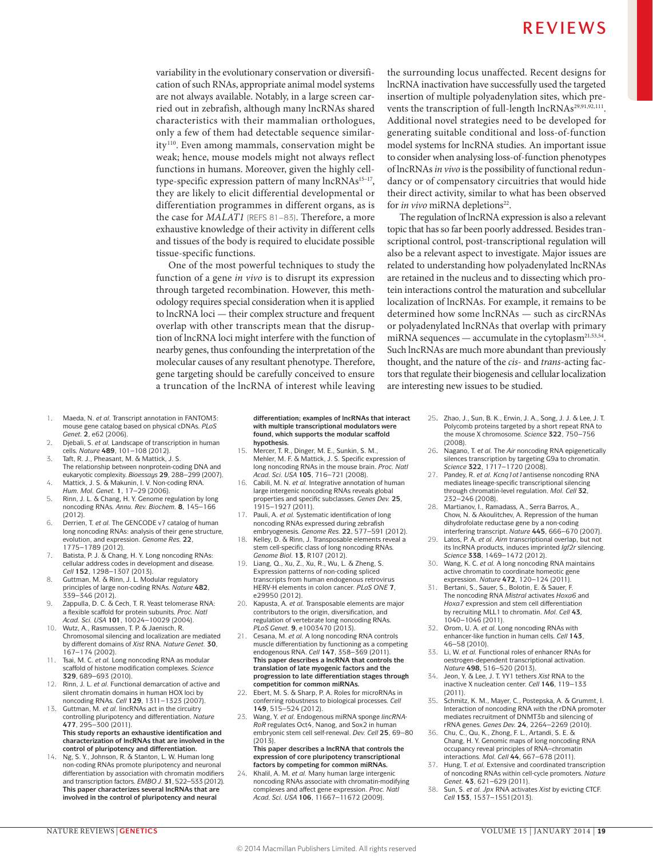variability in the evolutionary conservation or diversification of such RNAs, appropriate animal model systems are not always available. Notably, in a large screen carried out in zebrafish, although many lncRNAs shared characteristics with their mammalian orthologues, only a few of them had detectable sequence similarity<sup>110</sup>. Even among mammals, conservation might be weak; hence, mouse models might not always reflect functions in humans. Moreover, given the highly celltype-specific expression pattern of many  $\text{lncRNAs}^{\text{15--17}}$ , they are likely to elicit differential developmental or differentiation programmes in different organs, as is the case for *MALAT1* (REFS 81–83). Therefore, a more exhaustive knowledge of their activity in different cells and tissues of the body is required to elucidate possible tissue-specific functions.

One of the most powerful techniques to study the function of a gene *in vivo* is to disrupt its expression through targeted recombination. However, this methodology requires special consideration when it is applied to lncRNA loci — their complex structure and frequent overlap with other transcripts mean that the disruption of lncRNA loci might interfere with the function of nearby genes, thus confounding the interpretation of the molecular causes of any resultant phenotype. Therefore, gene targeting should be carefully conceived to ensure a truncation of the lncRNA of interest while leaving the surrounding locus unaffected. Recent designs for lncRNA inactivation have successfully used the targeted insertion of multiple polyadenylation sites, which prevents the transcription of full-length lncRNAs<sup>29,91,92,111</sup>. Additional novel strategies need to be developed for generating suitable conditional and loss-of-function model systems for lncRNA studies*.* An important issue to consider when analysing loss-of-function phenotypes of lncRNAs *in vivo* is the possibility of functional redundancy or of compensatory circuitries that would hide their direct activity, similar to what has been observed for *in vivo* miRNA depletions<sup>22</sup>.

The regulation of lncRNA expression is also a relevant topic that has so far been poorly addressed. Besides transcriptional control, post-transcriptional regulation will also be a relevant aspect to investigate. Major issues are related to understanding how polyadenylated lncRNAs are retained in the nucleus and to dissecting which protein interactions control the maturation and subcellular localization of lncRNAs. For example, it remains to be determined how some lncRNAs — such as circRNAs or polyadenylated lncRNAs that overlap with primary miRNA sequences  $-$  accumulate in the cytoplasm<sup>21,53,54</sup>. Such lncRNAs are much more abundant than previously thought, and the nature of the *cis*- and *trans*-acting factors that regulate their biogenesis and cellular localization are interesting new issues to be studied.

- 1. Maeda, N. *et al.* Transcript annotation in FANTOM3: mouse gene catalog based on physical cDNAs. *PLoS Genet.* **2**, e62 (2006).
- 2. Djebali, S. *et al.* Landscape of transcription in human cells. *Nature* **489**, 101–108 (2012).
- 3. Taft, R. J., Pheasant, M. & Mattick, J. S. The relationship between nonprotein-coding DNA and eukaryotic complexity. *Bioessays* **29**, 288–299 (2007).
- 4. Mattick, J. S. & Makunin, I. V. Non-coding RNA. *Hum. Mol. Genet.* **1**, 17–29 (2006).
- 5. Rinn, J. L. & Chang, H. Y. Genome regulation by long noncoding RNAs. *Annu. Rev. Biochem.* **8**, 145–166 (2012).
- 6. Derrien, T. *et al.* The GENCODE v7 catalog of human long noncoding RNAs: analysis of their gene structure, evolution, and expression. *Genome Res.* **22**, 1775–1789 (2012).
- 7. Batista, P. J. & Chang, H. Y. Long noncoding RNAs: cellular address codes in development and disease. *Cell* **152**, 1298–1307 (2013).
- 8. Guttman, M. & Rinn, J. L. Modular regulatory principles of large non-coding RNAs. *Nature* **482**, 339–346 (2012).
- 9. Zappulla, D. C. & Cech, T. R. Yeast telomerase RNA: a flexible scaffold for protein subunits. *Proc. Natl Acad. Sci. USA* **101**, 10024–10029 (2004).
- 10. Wutz, A., Rasmussen, T. P. & Jaenisch, R. Chromosomal silencing and localization are mediated by different domains of *Xist* RNA. *Nature Genet.* **30**, 167–174 (2002).
- 11. Tsai, M. C. *et al.* Long noncoding RNA as modular scaffold of histone modification complexes. *Science*  **329**, 689–693 (2010).
- 12. Rinn, J. L. *et al.* Functional demarcation of active and silent chromatin domains in human HOX loci by noncoding RNAs. *Cell* **129**, 1311–1323 (2007).
- 13. Guttman, M. *et al.* lincRNAs act in the circuitry controlling pluripotency and differentiation. *Nature*  **477**, 295–300 (2011). **This study reports an exhaustive identification and characterization of lncRNAs that are involved in the control of pluripotency and differentiation.**
- 14. Ng, S. Y., Johnson, R. & Stanton, L. W. Human long non-coding RNAs promote pluripotency and neuronal differentiation by association with chromatin modifiers and transcription factors. *EMBO J.* **31**, 522–533 (2012). **This paper characterizes several lncRNAs that are involved in the control of pluripotency and neural**

**differentiation; examples of lncRNAs that interact with multiple transcriptional modulators were found, which supports the modular scaffold hypothesis.**

- 15. Mercer, T. R., Dinger, M. E., Sunkin, S. M., Mehler, M. F. & Mattick, J. S. Specific expression of long noncoding RNAs in the mouse brain. *Proc. Natl Acad. Sci. USA* **105**, 716–721 (2008).
- 16. Cabili, M. N. *et al.* Integrative annotation of human large intergenic noncoding RNAs reveals global properties and specific subclasses. *Genes Dev.* **25**, 1915–1927 (2011).
- 17. Pauli, A. *et al.* Systematic identification of long noncoding RNAs expressed during zebrafish embryogenesis. *Genome Res.* **22**, 577–591 (2012).
- 18. Kelley, D. & Rinn, J. Transposable elements reveal a stem cell-specific class of long noncoding RNAs. *Genome Biol.* **13**, R107 (2012).
- 19. Liang, Q., Xu, Z., Xu, R., Wu, L. & Zheng, S. Expression patterns of non-coding spliced transcripts from human endogenous retrovirus HERV-H elements in colon cancer. *PLoS ONE* **7**, e29950 (2012).
- 20. Kapusta, A. *et al.* Transposable elements are major contributors to the origin, diversification, and regulation of vertebrate long noncoding RNAs. *PLoS Genet.* **9**, e1003470 (2013).
- 21. Cesana, M. *et al.* A long noncoding RNA controls muscle differentiation by functioning as a competing endogenous RNA. *Cell* **147**, 358–369 (2011). **This paper describes a lncRNA that controls the translation of late myogenic factors and the progression to late differentiation stages through competition for common miRNAs.**
- 22. Ebert, M. S. & Sharp, P. A. Roles for microRNAs in conferring robustness to biological processes. *Cell*  **149**, 515–524 (2012).
- 23. Wang, Y. *et al.* Endogenous miRNA sponge *lincRNA-RoR* regulates Oct4, Nanog, and Sox2 in human embryonic stem cell self-renewal. *Dev. Cell* **25**, 69–80 (2013).

**This paper describes a lncRNA that controls the expression of core pluripotency transcriptional factors by competing for common miRNAs.**

24. Khalil, A. M. *et al.* Many human large intergenic noncoding RNAs associate with chromatin-modifying complexes and affect gene expression. *Proc. Natl Acad. Sci. USA* **106**, 11667–11672 (2009).

- 25**.** Zhao, J., Sun, B. K., Erwin, J. A., Song, J. J. & Lee, J. T. Polycomb proteins targeted by a short repeat RNA to the mouse X chromosome. *Science* **322**, 750–756 (2008).
- 26**.** Nagano, T. e*t al.* The *Air* noncoding RNA epigenetically silences transcription by targeting G9a to chromatin. *Science* **322**, 1717–1720 (2008).
- 27. Pandey, R. *et al. Kcnq1ot1*antisense noncoding RNA mediates lineage-specific transcriptional silencing through chromatin-level regulation. *Mol. Cell* **32**, 232–246 (2008).
- 28. Martianov, I., Ramadass, A., Serra Barros, A., Chow, N. & Akoulitchev, A. Repression of the human dihydrofolate reductase gene by a non-coding interfering transcript. *Nature* **445**, 666–670 (2007).
- 29. Latos, P. A. *et al. Airn* transcriptional overlap, but not its lncRNA products, induces imprinted *Igf2r* silencing. *Science* **338**, 1469–1472 (2012).
- 30. Wang, K. C. *et al.* A long noncoding RNA maintains active chromatin to coordinate homeotic gene expression. *Nature* **472**, 120–124 (2011).
- 31. Bertani, S., Sauer, S., Bolotin, E. & Sauer, F. The noncoding RNA *Mistral* activates *Hoxa6* and *Hoxa7* expression and stem cell differentiation by recruiting MLL1 to chromatin. *Mol. Cell* **43***,*  1040–1046 (2011).
- 32. Ørom, U. A. *et al.* Long noncoding RNAs with enhancer-like function in human cells. *Cell* **143**, 46–58 (2010).
- 33. Li, W. *et al.* Functional roles of enhancer RNAs for oestrogen-dependent transcriptional activation. *Nature* **498**, 516–520 (2013).
- 34. Jeon, Y. & Lee, J. T. YY1 tethers *Xist* RNA to the inactive X nucleation center. *Cell* **146**, 119–133 (2011).
- 35. Schmitz, K. M., Mayer, C., Postepska, A. & Grummt, I. Interaction of noncoding RNA with the rDNA promoter mediates recruitment of DNMT3b and silencing of rRNA genes. *Genes Dev.* **24**, 2264–2269 (2010).
- 36. Chu, C., Qu, K., Zhong, F. L., Artandi, S. E. & Chang, H. Y. Genomic maps of long noncoding RNA occupancy reveal principles of RNA–chromatin interactions. *Mol. Cell* **44**, 667–678 (2011).
- 37. Hung, T. *et al.* Extensive and coordinated transcription of noncoding RNAs within cell-cycle promoters. *Nature Genet.* **43**, 621–629 (2011).
- 38. Sun, S. *et al. Jpx* RNA activates *Xist* by evicting CTCF. *Cell* **153**, 1537–1551(2013).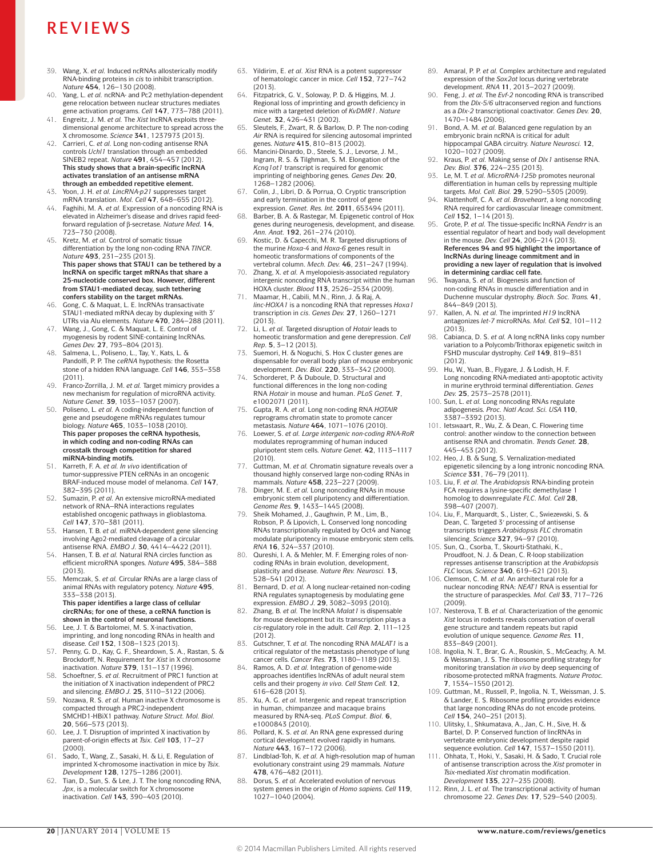- 39. Wang, X. *et al.* Induced ncRNAs allosterically modify RNA-binding proteins in *cis* to inhibit transcription. *Nature* **454**, 126–130 (2008).
- 40. Yang, L. *et al.* ncRNA- and Pc2 methylation-dependent gene relocation between nuclear structures mediates gene activation programs. *Cell* **147**, 773–788 (2011).
- 41. Engreitz, J. M. *et al.* The *Xist* lncRNA exploits threedimensional genome architecture to spread across the X chromosome. *Science* **341**, 1237973 (2013).
- 42. Carrieri, C. *et al.* Long non-coding antisense RNA controls *Uchl1* translation through an embedded SINEB2 repeat. *Nature* **491**, 454–457 (2012). **This study shows that a brain-specific lncRNA activates translation of an antisense mRNA through an embedded repetitive element.**
- 43. Yoon, J. H. *et al. LincRNA‑p21* suppresses target mRNA translation. *Mol. Cell* **47**, 648–655 (2012).
- 44. Faghihi, M. A. *et al.* Expression of a noncoding RNA is elevated in Alzheimer's disease and drives rapid feedforward regulation of β-secretase. *Nature Med.* **14**, 723–730 (2008).
- 45. Kretz, M. *et al.* Control of somatic tissue differentiation by the long non-coding RNA *TINCR*. *Nature* **493**, 231–235 (2013). **This paper shows that STAU1 can be tethered by a lncRNA on specific target mRNAs that share a 25-nucleotide conserved box. However, different from STAU1-mediated decay, such tethering confers stability on the target mRNAs.**
- 46. Gong, C. & Maquat, L. E. lncRNAs transactivate STAU1-mediated mRNA decay by duplexing with 3′ UTRs via Alu elements. *Nature* **470**, 284–288 (2011).
- Wang, J., Gong, C. & Maquat, L. E. Control of myogenesis by rodent SINE-containing lncRNAs. *Genes Dev.* **27**, 793–804 (2013).
- 48. Salmena, L., Poliseno, L., Tay, Y., Kats, L. & Pandolfi, P. P. The *ceRNA* hypothesis: the Rosetta stone of a hidden RNA language. *Cell* **146**, 353–358 (2011).
- 49. Franco-Zorrilla, J. M. *et al.* Target mimicry provides a new mechanism for regulation of microRNA activity. *Nature Genet.* **39**, 1033–1037 (2007).
- 50. Poliseno, L. *et al.* A coding-independent function of gene and pseudogene mRNAs regulates tumour biology. *Nature* **465**, 1033–1038 (2010). **This paper proposes the ceRNA hypothesis, in which coding and non-coding RNAs can crosstalk through competition for shared miRNA-binding motifs.**
- 51. Karreth, F. A. *et al. In vivo* identification of tumor-suppressive PTEN ceRNAs in an oncogenic BRAF-induced mouse model of melanoma. *Cell* **147**, 382–395 (2011).
- 52. Sumazin, P. *et al.* An extensive microRNA-mediated network of RNA–RNA interactions regulates established oncogenic pathways in glioblastoma. *Cell* **147**, 370–381 (2011).
- 53. Hansen, T. B. *et al.* miRNA-dependent gene silencing involving Ago2-mediated cleavage of a circular antisense RNA. *EMBO J.* **30**, 4414–4422 (2011).
- Hansen, T. B. *et al.* Natural RNA circles function as efficient microRNA sponges. *Nature* **495**, 384–388 (2013).
- 55. Memczak, S. *et al.* Circular RNAs are a large class of animal RNAs with regulatory potency. *Nature* **495**, 333–338 (2013). **This paper identifies a large class of cellular**

#### **circRNAs; for one of these, a ceRNA function is shown in the control of neuronal functions.**

- 56. Lee, J. T. & Bartolomei, M. S. X-inactivation, imprinting, and long noncoding RNAs in health and disease. *Cell* **152**, 1308–1323 (2013).
- Penny, G. D., Kay, G. F., Sheardown, S. A., Rastan, S. & Brockdorff, N. Requirement for *Xist* in X chromosome
- inactivation. *Nature* **379**, 131–137 (1996). 58. Schoeftner, S. *et al.* Recruitment of PRC1 function at the initiation of X inactivation independent of PRC2 and silencing. *EMBO J.* **25**, 3110–3122 (2006).
- 59. Nozawa, R. S. *et al.* Human inactive X chromosome is compacted through a PRC2-independent<br>SMCHD1-HBiX1 pathway. *Nature Struct. Mol. Biol.* **20**, 566–573 (2013).
- 60. Lee, J. T. Disruption of imprinted X inactivation by parent-of-origin effects at *Tsix. Cell* **103**, 17–27 (2000).
- 61. Sado, T., Wang, Z., Sasaki, H. & Li, E. Regulation of imprinted X-chromosome inactivation in mice by *Tsix. Development* **128**, 1275–1286 (2001).
- 62. Tian, D., Sun, S. & Lee, J. T. The long noncoding RNA, *Jpx*, is a molecular switch for X chromosome inactivation. *Cell* **143***,* 390–403 (2010).
- 63. Yildirim, E. *et al. Xist* RNA is a potent suppressor of hematologic cancer in mice. *Cell* **152**, 727–742  $(2013)$
- 64. Fitzpatrick, G. V., Soloway, P. D. & Higgins, M. J. Regional loss of imprinting and growth deficiency in mice with a targeted deletion of *KvDMR1*. *Nature Genet.* **32**, 426–431 (2002).
- 65. Sleutels, F., Zwart, R. & Barlow, D. P. The non-coding *Air* RNA is required for silencing autosomal imprinted genes. *Nature* **415**, 810–813 (2002).
- 66. Mancini-Dinardo, D., Steele, S. J., Levorse, J. M., Ingram, R. S. & Tilghman, S. M. Elongation of the *Kcnq1ot1* transcript is required for genomic imprinting of neighboring genes. *Genes Dev.* **20**, 1268–1282 (2006).
- 67. Colin, J., Libri, D. & Porrua, O. Cryptic transcription and early termination in the control of gene expression. *Genet. Res. Int.* **2011**, 653494 (2011).
- 68. Barber, B. A. & Rastegar, M. Epigenetic control of Hox genes during neurogenesis, development, and disease. *Ann. Anat.* **192**, 261–274 (2010).
- 69. Kostic, D. & Capecchi, M. R. Targeted disruptions of the murine *Hoxa‑4* and *Hoxa‑6* genes result in homeotic transformations of components of the vertebral column. *Mech. Dev.* **46**, 231–247 (1994).
- 70. Zhang, X. *et al.* A myelopoiesis-associated regulatory intergenic noncoding RNA transcript within the human HOXA cluster. *Blood* **113**, 2526–2534 (2009).
- Maamar, H., Cabili, M.N., Rinn, J. & Raj, A. *linc‑HOXA1* is a noncoding RNA that represses *Hoxa1* transcription in *cis*. *Genes Dev.* **27**, 1260–1271 (2013).
- 72. Li, L. *et al.* Targeted disruption of *Hotair* leads to homeotic transformation and gene derepression. *Cell Rep.* **5**, 3–12 (2013).
- 73. Suemori, H. & Noguchi, S. Hox C cluster genes are dispensable for overall body plan of mouse embryonic development. *Dev. Biol.* **220**, 333–342 (2000).
- Schorderet, P. & Duboule, D. Structural and functional differences in the long non-coding RNA *Hotair* in mouse and human. *PLoS Genet.* **7**,
- e1002071 (2011). 75. Gupta, R. A. *et al.* Long non-coding RNA *HOTAIR* reprograms chromatin state to promote cancer metastasis. *Nature* **464**, 1071–1076 (2010).
- 76. Loewer, S. *et al. Large intergenic non-coding RNA-RoR* modulates reprogramming of human induced pluripotent stem cells. *Nature Genet.* **42**, 1113–1117 (2010).
- 77. Guttman, M. *et al.* Chromatin signature reveals over a thousand highly conserved large non-coding RNAs in mammals. *Nature* **458**, 223–227 (2009).
- 78. Dinger, M. E. *et al.* Long noncoding RNAs in mouse embryonic stem cell pluripotency and differentiation. *Genome Res.* **9**, 1433–1445 (2008).
- Sheik Mohamed, J., Gaughwin, P. M., Lim, B., Robson, P. & Lipovich, L. Conserved long noncoding RNAs transcriptionally regulated by Oct4 and Nanog modulate pluripotency in mouse embryonic stem cells. *RNA* **16**, 324–337 (2010).
- Qureshi, I. A. & Mehler, M. F. Emerging roles of noncoding RNAs in brain evolution, development, plasticity and disease. *Nature Rev. Neurosci.* **13**,
- 528–541 (2012). 81. Bernard, D. *et al.* A long nuclear-retained non-coding RNA regulates synaptogenesis by modulating gene expression. *EMBO J.* **29**, 3082–3093 (2010).
- 82. Zhang, B. *et al.* The lncRNA *Malat1* is dispensable for mouse development but its transcription plays a *cis*-regulatory role in the adult. *Cell Rep.* **2**, 111–123 (2012).
- Gutschner, T. et al. The noncoding RNA *MALAT1* is a critical regulator of the metastasis phenotype of lung cancer cells. *Cancer Res.* **73**, 1180–1189 (2013).
- 84. Ramos, A. D. *et al.* Integration of genome-wide approaches identifies lncRNAs of adult neural stem cells and their progeny *in vivo. Cell Stem Cell.* **12**, 616–628 (2013).
- 85. Xu, A. G. *et al.* Intergenic and repeat transcription in human, chimpanzee and macaque brains measured by RNA-seq. *PLoS Comput. Biol.* **6**, e1000843 (2010).
- 86. Pollard, K. S. *et al.* An RNA gene expressed during cortical development evolved rapidly in humans.
- *Nature* **443**, 167–172 (2006). 87. Lindblad-Toh, K. *et al.* A high-resolution map of human evolutionary constraint using 29 mammals. *Nature*  **478**, 476–482 (2011).
- 88. Dorus, S. *et al.* Accelerated evolution of nervous system genes in the origin of *Homo sapiens. Cell* **119**, 1027–1040 (2004).
- 89. Amaral, P. P. *et al.* Complex architecture and regulated expression of the *Sox2ot* locus during vertebrate
- development. *RNA* **11**, 2013–2027 (2009). 90. Feng, J. *et al.* The *Evf‑2* noncoding RNA is transcribed from the *Dlx‑5/6* ultraconserved region and functions as a *Dlx*-*2* transcriptional coactivator. *Genes Dev.* **20**, 1470–1484 (2006).
- 91. Bond, A. M. *et al.* Balanced gene regulation by an embryonic brain ncRNA is critical for adult hippocampal GABA circuitry. *Nature Neurosci.* **12**, 1020–1027 (2009).
- 92. Kraus, P. *et al.* Making sense of *Dlx1* antisense RNA. *Dev. Biol.* **376**, 224–235 (2013).
- 93. Le, M. T. *et al. MicroRNA‑125b* promotes neuronal differentiation in human cells by repressing multiple targets. *Mol. Cell. Biol.* **29**, 5290–5305 (2009).
- 94. Klattenhoff, C. A. *et al. Braveheart*, a long noncoding RNA required for cardiovascular lineage commitment. *Cell* **152**, 1–14 (2013).
- 95. Grote, P. *et al.* The tissue-specific lncRNA *Fendrr* is an essential regulator of heart and body wall development in the mouse. *Dev. Cell* **24**, 206–214 (2013). **References 94 and 95 highlight the importance of lncRNAs during lineage commitment and in providing a new layer of regulation that is involved**
- **in determining cardiac cell fate.** 96. Twayana, S. *et al.* Biogenesis and function of non-coding RNAs in muscle differentiation and in Duchenne muscular dystrophy. *Bioch. Soc. Trans.* **41**, 844–849 (2013).
- 97. Kallen, A. N. *et al.* The imprinted *H19* lncRNA antagonizes *let‑7* microRNAs. *Mol. Cell* **52**, 101–112 (2013).
- 98. Cabianca, D. S. *et al.* A long ncRNA links copy number variation to a Polycomb/Trithorax epigenetic switch in FSHD muscular dystrophy. *Cell* **149**, 819–831 (2012).
- 99. Hu, W., Yuan, B., Flygare, J. & Lodish, H. F. Long noncoding RNA-mediated anti-apoptotic activity in murine erythroid terminal differentiation. *Genes Dev.* **25**, 2573–2578 (2011).
- 100. Sun, L. *et al.* Long noncoding RNAs regulate adipogenesis. *Proc. Natl Acad. Sci. USA* **110**, 3387–3392 (2013).
- 101. Ietswaart, R., Wu, Z. & Dean, C. Flowering time control: another window to the connection between antisense RNA and chromatin. *Trends Genet.* **28**, 445–453 (2012).
- 102. Heo, J. B. & Sung, S. Vernalization-mediated epigenetic silencing by a long intronic noncoding RNA. *Science* **331**, 76–79 (2011).
- 103. Liu, F. *et al.* The *Arabidopsis* RNA-binding protein FCA requires a lysine-specific demethylase 1 homolog to downregulate *FLC*. *Mol. Cell* **28**, 398–407 (2007).
- 104. Liu, F., Marquardt, S., Lister, C., Swiezewski, S. & Dean, C. Targeted 3ʹ processing of antisense transcripts triggers *Arabidopsis FLC* chromatin silencing. *Science* **327**, 94–97 (2010). 105. Sun, Q., Csorba, T., Skourti-Stathaki, K.,
- Proudfoot, N. J. & Dean, C. R-loop stabilization represses antisense transcription at the *Arabidopsis FLC* locus. *Science* **340**, 619–621 (2013).
- 106. Clemson, C. M. *et al.* An architectural role for a nuclear noncoding RNA: *NEAT1* RNA is essential for the structure of paraspeckles. *Mol. Cell* **33**, 717–726 (2009).
- 107. Nesterova, T. B. *et al.* Characterization of the genomic *Xist* locus in rodents reveals conservation of overall gene structure and tandem repeats but rapid evolution of unique sequence. *Genome Res.* **11**, 833–849 (2001).
- 108. Ingolia, N. T., Brar, G. A., Rouskin, S., McGeachy, A. M. & Weissman, J. S. The ribosome profiling strategy for monitoring translation *in vivo* by deep sequencing of ribosome-protected mRNA fragments. *Nature Protoc.*  **7**, 1534–1550 (2012).
- 109. Guttman, M., Russell, P., Ingolia, N. T., Weissman, J. S. & Lander, E. S. Ribosome profiling provides evidence that large noncoding RNAs do not encode proteins. *Cell* **154**, 240–251 (2013). 110. Ulitsky, I., Shkumatava, A., Jan, C. H., Sive, H. &
- Bartel, D. P. Conserved function of lincRNAs in vertebrate embryonic development despite rapid
- sequence evolution. *Cell* **147**, 1537–1550 (2011). 111. Ohhata, T., Hoki, Y., Sasaki, H. & Sado, T. Crucial role of antisense transcription across the *Xist* promoter in *Tsix*-mediated *Xist* chromatin modification. *Development* **135**, 227–235 (2008).
- 112. Rinn, J. L. *et al.* The transcriptional activity of human chromosome 22. *Genes Dev.* **17**, 529–540 (2003).